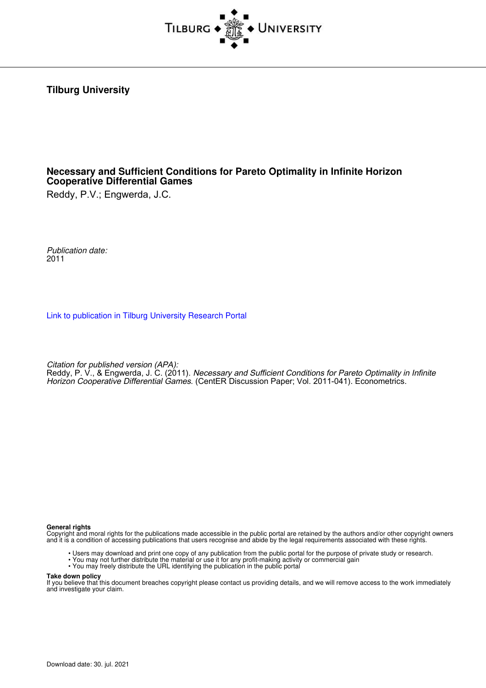

**Tilburg University**

# **Necessary and Sufficient Conditions for Pareto Optimality in Infinite Horizon Cooperative Differential Games**

Reddy, P.V.; Engwerda, J.C.

Publication date: 2011

Link to publication in Tilburg University Research Portal

Citation for published version (APA):

Reddy, P. V., & Engwerda, J. C. (2011). *Necessary and Sufficient Conditions for Pareto Optimality in Infinite* Horizon Cooperative Differential Games. (CentER Discussion Paper; Vol. 2011-041). Econometrics.

#### **General rights**

Copyright and moral rights for the publications made accessible in the public portal are retained by the authors and/or other copyright owners and it is a condition of accessing publications that users recognise and abide by the legal requirements associated with these rights.

- Users may download and print one copy of any publication from the public portal for the purpose of private study or research.
- You may not further distribute the material or use it for any profit-making activity or commercial gain
- You may freely distribute the URL identifying the publication in the public portal

#### **Take down policy**

If you believe that this document breaches copyright please contact us providing details, and we will remove access to the work immediately and investigate your claim.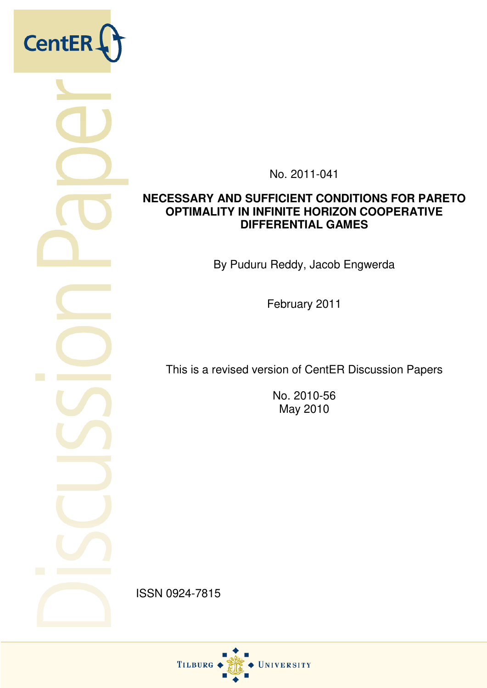

No. 2011-041

# **NECESSARY AND SUFFICIENT CONDITIONS FOR PARETO OPTIMALITY IN INFINITE HORIZON COOPERATIVE DIFFERENTIAL GAMES**

By Puduru Reddy, Jacob Engwerda

February 2011

This is a revised version of CentER Discussion Papers

No. 2010-56 May 2010

ISSN 0924-7815

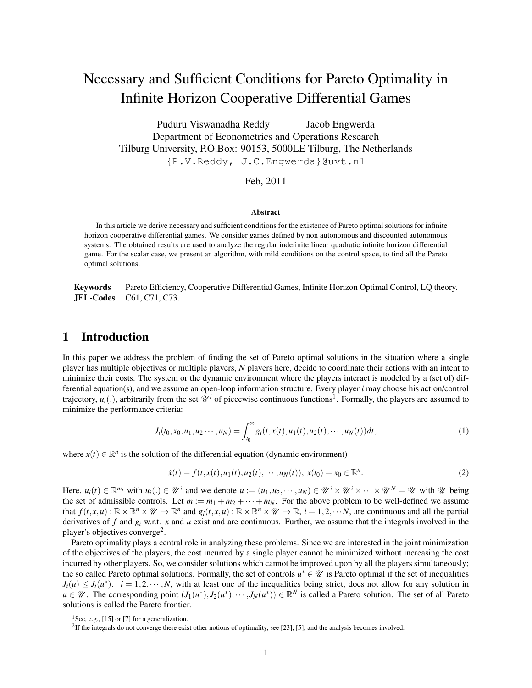# Necessary and Sufficient Conditions for Pareto Optimality in Infinite Horizon Cooperative Differential Games

Puduru Viswanadha Reddy Jacob Engwerda Department of Econometrics and Operations Research Tilburg University, P.O.Box: 90153, 5000LE Tilburg, The Netherlands {P.V.Reddy, J.C.Engwerda}@uvt.nl

Feb, 2011

#### Abstract

In this article we derive necessary and sufficient conditions for the existence of Pareto optimal solutions for infinite horizon cooperative differential games. We consider games defined by non autonomous and discounted autonomous systems. The obtained results are used to analyze the regular indefinite linear quadratic infinite horizon differential game. For the scalar case, we present an algorithm, with mild conditions on the control space, to find all the Pareto optimal solutions.

Keywords Pareto Efficiency, Cooperative Differential Games, Infinite Horizon Optimal Control, LQ theory. **JEL-Codes** C61, C71, C73.

### 1 Introduction

In this paper we address the problem of finding the set of Pareto optimal solutions in the situation where a single player has multiple objectives or multiple players, *N* players here, decide to coordinate their actions with an intent to minimize their costs. The system or the dynamic environment where the players interact is modeled by a (set of) differential equation(s), and we assume an open-loop information structure. Every player *i* may choose his action/control trajectory,  $u_i(.)$ , arbitrarily from the set  $\mathscr{U}^i$  of piecewise continuous functions<sup>1</sup>. Formally, the players are assumed to minimize the performance criteria:

$$
J_i(t_0, x_0, u_1, u_2 \cdots, u_N) = \int_{t_0}^{\infty} g_i(t, x(t), u_1(t), u_2(t), \cdots, u_N(t)) dt,
$$
\n(1)

where  $x(t) \in \mathbb{R}^n$  is the solution of the differential equation (dynamic environment)

$$
\dot{x}(t) = f(t, x(t), u_1(t), u_2(t), \cdots, u_N(t)), \ x(t_0) = x_0 \in \mathbb{R}^n.
$$
\n(2)

Here,  $u_i(t) \in \mathbb{R}^{m_i}$  with  $u_i(.) \in \mathcal{U}^i$  and we denote  $u := (u_1, u_2, \dots, u_N) \in \mathcal{U}^i \times \mathcal{U}^i \times \dots \times \mathcal{U}^N = \mathcal{U}$  with  $\mathcal{U}$  being the set of admissible controls. Let  $m := m_1 + m_2 + \cdots + m_N$ . For the above problem to be well-defined we assume that  $f(t, x, u) : \mathbb{R} \times \mathbb{R}^n \times \mathcal{U} \to \mathbb{R}^n$  and  $g_i(t, x, u) : \mathbb{R} \times \mathbb{R}^n \times \mathcal{U} \to \mathbb{R}, i = 1, 2, \dots N$ , are continuous and all the partial derivatives of f and  $g_i$  w.r.t. x and  $u$  exist and are continuous. Further, we assume that the integrals involved in the player's objectives converge<sup>2</sup>.

Pareto optimality plays a central role in analyzing these problems. Since we are interested in the joint minimization of the objectives of the players, the cost incurred by a single player cannot be minimized without increasing the cost incurred by other players. So, we consider solutions which cannot be improved upon by all the players simultaneously; the so called Pareto optimal solutions. Formally, the set of controls  $u^* \in \mathcal{U}$  is Pareto optimal if the set of inequalities  $J_i(u) \leq J_i(u^*)$ ,  $i = 1, 2, \dots, N$ , with at least one of the inequalities being strict, does not allow for any solution in  $u \in \mathscr{U}$ . The corresponding point  $(J_1(u^*), J_2(u^*), \dots, J_N(u^*)) \in \mathbb{R}^N$  is called a Pareto solution. The set of all Pareto solutions is called the Pareto frontier.

<sup>&</sup>lt;sup>1</sup>See, e.g., [15] or [7] for a generalization.

<sup>2</sup> If the integrals do not converge there exist other notions of optimality, see [23], [5], and the analysis becomes involved.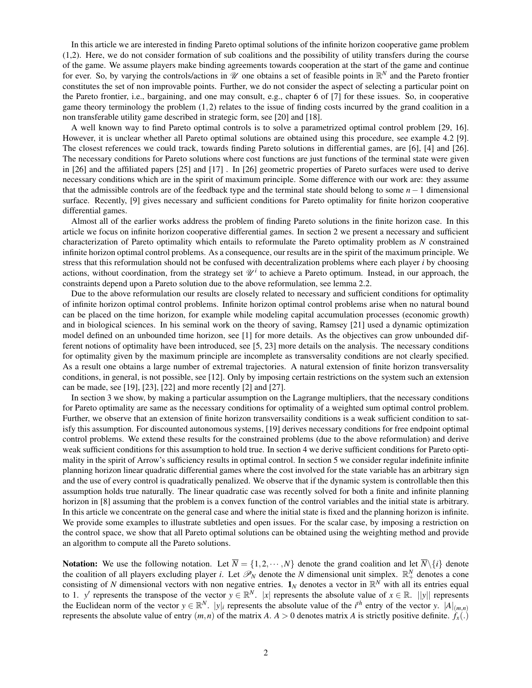In this article we are interested in finding Pareto optimal solutions of the infinite horizon cooperative game problem (1,2). Here, we do not consider formation of sub coalitions and the possibility of utility transfers during the course of the game. We assume players make binding agreements towards cooperation at the start of the game and continue for ever. So, by varying the controls/actions in  $\mathcal U$  one obtains a set of feasible points in  $\mathbb R^N$  and the Pareto frontier constitutes the set of non improvable points. Further, we do not consider the aspect of selecting a particular point on the Pareto frontier, i.e., bargaining, and one may consult, e.g., chapter 6 of [7] for these issues. So, in cooperative game theory terminology the problem (1,2) relates to the issue of finding costs incurred by the grand coalition in a non transferable utility game described in strategic form, see [20] and [18].

A well known way to find Pareto optimal controls is to solve a parametrized optimal control problem [29, 16]. However, it is unclear whether all Pareto optimal solutions are obtained using this procedure, see example 4.2 [9]. The closest references we could track, towards finding Pareto solutions in differential games, are [6], [4] and [26]. The necessary conditions for Pareto solutions where cost functions are just functions of the terminal state were given in [26] and the affiliated papers [25] and [17] . In [26] geometric properties of Pareto surfaces were used to derive necessary conditions which are in the spirit of maximum principle. Some difference with our work are: they assume that the admissible controls are of the feedback type and the terminal state should belong to some *n*−1 dimensional surface. Recently, [9] gives necessary and sufficient conditions for Pareto optimality for finite horizon cooperative differential games.

Almost all of the earlier works address the problem of finding Pareto solutions in the finite horizon case. In this article we focus on infinite horizon cooperative differential games. In section 2 we present a necessary and sufficient characterization of Pareto optimality which entails to reformulate the Pareto optimality problem as *N* constrained infinite horizon optimal control problems. As a consequence, our results are in the spirit of the maximum principle. We stress that this reformulation should not be confused with decentralization problems where each player *i* by choosing actions, without coordination, from the strategy set  $\mathcal{U}^i$  to achieve a Pareto optimum. Instead, in our approach, the constraints depend upon a Pareto solution due to the above reformulation, see lemma 2.2.

Due to the above reformulation our results are closely related to necessary and sufficient conditions for optimality of infinite horizon optimal control problems. Infinite horizon optimal control problems arise when no natural bound can be placed on the time horizon, for example while modeling capital accumulation processes (economic growth) and in biological sciences. In his seminal work on the theory of saving, Ramsey [21] used a dynamic optimization model defined on an unbounded time horizon, see [1] for more details. As the objectives can grow unbounded different notions of optimality have been introduced, see [5, 23] more details on the analysis. The necessary conditions for optimality given by the maximum principle are incomplete as transversality conditions are not clearly specified. As a result one obtains a large number of extremal trajectories. A natural extension of finite horizon transversality conditions, in general, is not possible, see [12]. Only by imposing certain restrictions on the system such an extension can be made, see [19], [23], [22] and more recently [2] and [27].

In section 3 we show, by making a particular assumption on the Lagrange multipliers, that the necessary conditions for Pareto optimality are same as the necessary conditions for optimality of a weighted sum optimal control problem. Further, we observe that an extension of finite horizon transversaility conditions is a weak sufficient condition to satisfy this assumption. For discounted autonomous systems, [19] derives necessary conditions for free endpoint optimal control problems. We extend these results for the constrained problems (due to the above reformulation) and derive weak sufficient conditions for this assumption to hold true. In section 4 we derive sufficient conditions for Pareto optimality in the spirit of Arrow's sufficiency results in optimal control. In section 5 we consider regular indefinite infinite planning horizon linear quadratic differential games where the cost involved for the state variable has an arbitrary sign and the use of every control is quadratically penalized. We observe that if the dynamic system is controllable then this assumption holds true naturally. The linear quadratic case was recently solved for both a finite and infinite planning horizon in [8] assuming that the problem is a convex function of the control variables and the initial state is arbitrary. In this article we concentrate on the general case and where the initial state is fixed and the planning horizon is infinite. We provide some examples to illustrate subtleties and open issues. For the scalar case, by imposing a restriction on the control space, we show that all Pareto optimal solutions can be obtained using the weighting method and provide an algorithm to compute all the Pareto solutions.

Notation: We use the following notation. Let  $\overline{N} = \{1, 2, \dots, N\}$  denote the grand coalition and let  $\overline{N}\setminus\{i\}$  denote the coalition of all players excluding player *i*. Let  $\mathscr{P}_N$  denote the *N* dimensional unit simplex.  $\mathbb{R}^N_+$  denotes a cone consisting of N dimensional vectors with non negative entries.  $1_N$  denotes a vector in  $\mathbb{R}^N$  with all its entries equal to 1. *y'* represents the transpose of the vector  $y \in \mathbb{R}^N$ . |*x*| represents the absolute value of  $x \in \mathbb{R}$ . ||*y*|| represents the Euclidean norm of the vector  $y \in \mathbb{R}^N$ .  $|y|_i$  represents the absolute value of the *i*<sup>th</sup> entry of the vector *y*.  $|A|_{(m,n)}$ represents the absolute value of entry  $(m, n)$  of the matrix *A*.  $A > 0$  denotes matrix *A* is strictly positive definite.  $f_x(.)$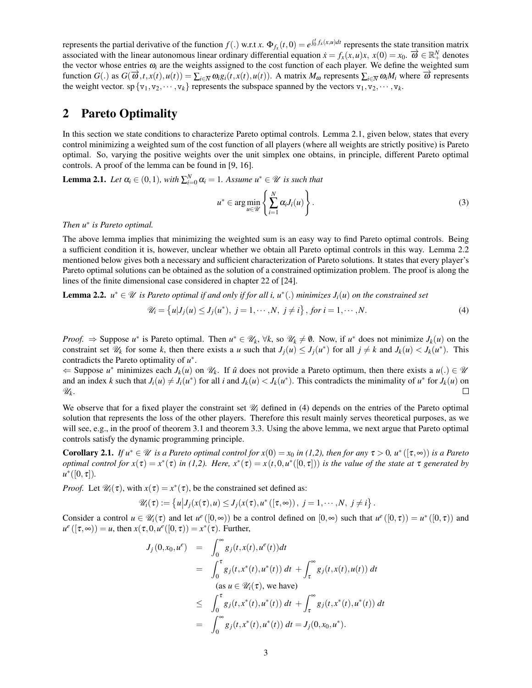represents the partial derivative of the function  $f(.)$  w.r.t *x*.  $\Phi_{f_x}(t,0) = e^{\int_0^t f_x(x,u)dt}$  represents the state transition matrix associated with the linear autonomous linear ordinary differential equation  $\dot{x} = f_x(x, u)x$ ,  $x(0) = x_0$ .  $\vec{\omega} \in \mathbb{R}^N_+$  denotes the vector whose entries ω*<sup>i</sup>* are the weights assigned to the cost function of each player. We define the weighted sum function  $G(.)$  as  $G(\vec{\omega}, t, x(t), u(t)) = \sum_{i \in \overline{N}} \omega_i g_i(t, x(t), u(t))$ . A matrix  $M_{\omega}$  represents  $\sum_{i \in \overline{N}} \omega_i M_i$  where  $\vec{\omega}$  represents the weight vector. sp { $v_1, v_2, \dots, v_k$ } represents the subspace spanned by the vectors  $v_1, v_2, \dots, v_k$ .

# 2 Pareto Optimality

In this section we state conditions to characterize Pareto optimal controls. Lemma 2.1, given below, states that every control minimizing a weighted sum of the cost function of all players (where all weights are strictly positive) is Pareto optimal. So, varying the positive weights over the unit simplex one obtains, in principle, different Pareto optimal controls. A proof of the lemma can be found in [9, 16].

**Lemma 2.1.** *Let*  $\alpha_i \in (0,1)$ *, with*  $\sum_{i=0}^{N} \alpha_i = 1$ *. Assume*  $u^* \in \mathcal{U}$  *is such that* 

$$
u^* \in \arg\min_{u \in \mathcal{U}} \left\{ \sum_{i=1}^N \alpha_i J_i(u) \right\}.
$$
 (3)

#### *Then u*∗ *is Pareto optimal.*

The above lemma implies that minimizing the weighted sum is an easy way to find Pareto optimal controls. Being a sufficient condition it is, however, unclear whether we obtain all Pareto optimal controls in this way. Lemma 2.2 mentioned below gives both a necessary and sufficient characterization of Pareto solutions. It states that every player's Pareto optimal solutions can be obtained as the solution of a constrained optimization problem. The proof is along the lines of the finite dimensional case considered in chapter 22 of [24].

**Lemma 2.2.**  $u^* \in \mathcal{U}$  is Pareto optimal if and only if for all i,  $u^*(.)$  minimizes  $J_i(u)$  on the constrained set

$$
\mathscr{U}_i = \{ u | J_j(u) \le J_j(u^*), \ j = 1, \cdots, N, \ j \ne i \}, \text{ for } i = 1, \cdots, N. \tag{4}
$$

*Proof.* ⇒ Suppose *u*<sup>\*</sup> is Pareto optimal. Then  $u^* \in \mathcal{U}_k$ ,  $\forall k$ , so  $\mathcal{U}_k \neq \emptyset$ . Now, if  $u^*$  does not minimize  $J_k(u)$  on the constraint set  $\mathcal{U}_k$  for some k, then there exists a u such that  $J_j(u) \leq J_j(u^*)$  for all  $j \neq k$  and  $J_k(u) < J_k(u^*)$ . This contradicts the Pareto optimality of *u* ∗ .

 $\Leftarrow$  Suppose *u*<sup>\*</sup> minimizes each *J<sub>k</sub>*(*u*) on  $\mathcal{U}_k$ . If  $\hat{u}$  does not provide a Pareto optimum, then there exists a  $u(.) \in \mathcal{U}$ and an index k such that  $J_i(u) \neq J_i(u^*)$  for all i and  $J_k(u) < J_k(u^*)$ . This contradicts the minimality of  $u^*$  for  $J_k(u)$  on  $\mathscr{U}_k$ .  $\Box$ 

We observe that for a fixed player the constraint set  $\mathcal{U}_i$  defined in (4) depends on the entries of the Pareto optimal solution that represents the loss of the other players. Therefore this result mainly serves theoretical purposes, as we will see, e.g., in the proof of theorem 3.1 and theorem 3.3. Using the above lemma, we next argue that Pareto optimal controls satisfy the dynamic programming principle.

**Corollary 2.1.** *If*  $u^* \in \mathcal{U}$  *is a Pareto optimal control for*  $x(0) = x_0$  *in* (1,2), *then for any*  $\tau > 0$ ,  $u^*([\tau, \infty))$  *is a Pareto optimal control for*  $x(\tau) = x^*(\tau)$  *in* (1,2). Here,  $x^*(\tau) = x(t, 0, u^*([0, \tau]))$  *is the value of the state at*  $\tau$  generated by  $u^*([0,\tau]).$ 

*Proof.* Let  $\mathcal{U}_i(\tau)$ , with  $x(\tau) = x^*(\tau)$ , be the constrained set defined as:

$$
\mathscr{U}_i(\tau) := \left\{ u \middle| J_j(x(\tau), u) \leq J_j(x(\tau), u^*([\tau, \infty)), \ j = 1, \cdots, N, \ j \neq i \right\}.
$$

Consider a control  $u \in \mathcal{U}_i(\tau)$  and let  $u^e([0,\infty))$  be a control defined on  $[0,\infty)$  such that  $u^e([0,\tau)) = u^*([0,\tau))$  and  $u^e$  ([ $\tau$ , $\infty$ )) = *u*, then *x*( $\tau$ , $0$ ,  $u^e$ ([ $0, \tau$ )) = *x*<sup>\*</sup>( $\tau$ ). Further,

$$
J_j(0, x_0, u^e) = \int_0^\infty g_j(t, x(t), u^e(t)) dt
$$
  
\n
$$
= \int_0^\tau g_j(t, x^*(t), u^*(t)) dt + \int_\tau^\infty g_j(t, x(t), u(t)) dt
$$
  
\n(as  $u \in \mathcal{U}_i(\tau)$ , we have)  
\n
$$
\leq \int_0^\tau g_j(t, x^*(t), u^*(t)) dt + \int_\tau^\infty g_j(t, x^*(t), u^*(t)) dt
$$
  
\n
$$
= \int_0^\infty g_j(t, x^*(t), u^*(t)) dt = J_j(0, x_0, u^*).
$$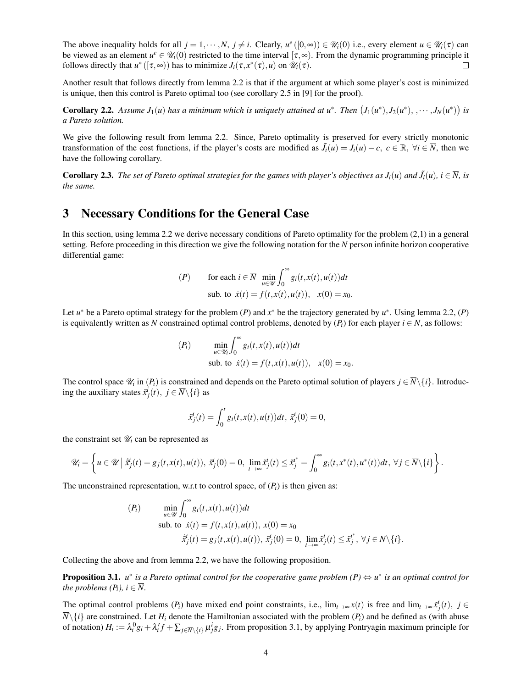The above inequality holds for all  $j = 1, \dots, N$ ,  $j \neq i$ . Clearly,  $u^e([0, \infty)) \in \mathcal{U}_i(0)$  i.e., every element  $u \in \mathcal{U}_i(\tau)$  can be viewed as an element  $u^e \in \mathcal{U}_i(0)$  restricted to the time interval  $[\tau, \infty)$ . From the dynamic programming principle it follows directly that  $u^*([\tau, \infty))$  has to minimize  $J_i(\tau, x^*(\tau), u)$  on  $\mathscr{U}_i(\tau)$ .

Another result that follows directly from lemma 2.2 is that if the argument at which some player's cost is minimized is unique, then this control is Pareto optimal too (see corollary 2.5 in [9] for the proof).

**Corollary 2.2.** Assume  $J_1(u)$  has a minimum which is uniquely attained at  $u^*$ . Then  $(J_1(u^*), J_2(u^*), \ldots, J_N(u^*))$  is *a Pareto solution.*

We give the following result from lemma 2.2. Since, Pareto optimality is preserved for every strictly monotonic transformation of the cost functions, if the player's costs are modified as  $\tilde{J}_i(u) = J_i(u) - c, c \in \mathbb{R}, \forall i \in \overline{N}$ , then we have the following corollary.

**Corollary 2.3.** *The set of Pareto optimal strategies for the games with player's objectives as*  $J_i(u)$  *and*  $\tilde{J}_i(u)$ *,*  $i \in \overline{N}$ *, is the same.*

# 3 Necessary Conditions for the General Case

In this section, using lemma 2.2 we derive necessary conditions of Pareto optimality for the problem (2,1) in a general setting. Before proceeding in this direction we give the following notation for the *N* person infinite horizon cooperative differential game:

(P) for each 
$$
i \in \overline{N}
$$
 min  $\bigcup_{u \in \mathcal{U}}^{\infty} g_i(t, x(t), u(t)) dt$   
sub. to  $\dot{x}(t) = f(t, x(t), u(t)), \quad x(0) = x_0.$ 

Let  $u^*$  be a Pareto optimal strategy for the problem  $(P)$  and  $x^*$  be the trajectory generated by  $u^*$ . Using lemma 2.2,  $(P)$ is equivalently written as *N* constrained optimal control problems, denoted by  $(P_i)$  for each player  $i \in \overline{N}$ , as follows:

$$
(Pi) \qquad \min_{u \in \mathcal{U}_i} \int_0^\infty g_i(t, x(t), u(t)) dt
$$
  
sub. to  $\dot{x}(t) = f(t, x(t), u(t)), \quad x(0) = x_0.$ 

The control space  $\mathcal{U}_i$  in  $(P_i)$  is constrained and depends on the Pareto optimal solution of players  $j \in \overline{N} \setminus \{i\}$ . Introducing the auxiliary states  $\tilde{x}^i_j(t)$ ,  $j \in \overline{N} \setminus \{i\}$  as

$$
\tilde{x}_j^i(t) = \int_0^t g_i(t, x(t), u(t))dt, \ \tilde{x}_j^i(0) = 0,
$$

the constraint set  $\mathcal{U}_i$  can be represented as

$$
\mathscr{U}_i = \left\{ u \in \mathscr{U} \, \big| \, \dot{\mathfrak{X}}^i_j(t) = g_j(t, x(t), u(t)), \, \dot{\mathfrak{X}}^i_j(0) = 0, \, \lim_{t \to \infty} \dot{\mathfrak{X}}^i_j(t) \leq \dot{\mathfrak{X}}^i_j = \int_0^\infty g_i(t, x^*(t), u^*(t)) dt, \, \forall j \in \overline{N} \setminus \{i\} \right\}.
$$

The unconstrained representation, w.r.t to control space, of  $(P_i)$  is then given as:

$$
(P_i) \qquad \min_{u \in \mathcal{U}} \int_0^\infty g_i(t, x(t), u(t)) dt \n\text{sub. to } \dot{x}(t) = f(t, x(t), u(t)), \ x(0) = x_0 \n\dot{\tilde{x}}_j^i(t) = g_j(t, x(t), u(t)), \ \tilde{x}_j^i(0) = 0, \ \lim_{t \to \infty} \tilde{x}_j^i(t) \le \tilde{x}_j^{i^*}, \ \forall j \in \overline{N} \setminus \{i\}.
$$

Collecting the above and from lemma 2.2, we have the following proposition.

**Proposition 3.1.**  $u^*$  is a Pareto optimal control for the cooperative game problem  $(P) \Leftrightarrow u^*$  is an optimal control for *the problems (P<sub>i</sub>*),  $i \in \overline{N}$ .

The optimal control problems  $(P_i)$  have mixed end point constraints, i.e.,  $\lim_{t\to\infty} x(t)$  is free and  $\lim_{t\to\infty} \tilde{x}^i_j(t)$ ,  $j \in$  $\overline{N}\setminus\{i\}$  are constrained. Let  $H_i$  denote the Hamiltonian associated with the problem  $(P_i)$  and be defined as (with abuse of notation)  $H_i := \lambda_i^0 g_i + \lambda'_i f + \sum_{j \in \overline{N} \setminus \{i\}} \mu_j^i g_j$ . From proposition 3.1, by applying Pontryagin maximum principle for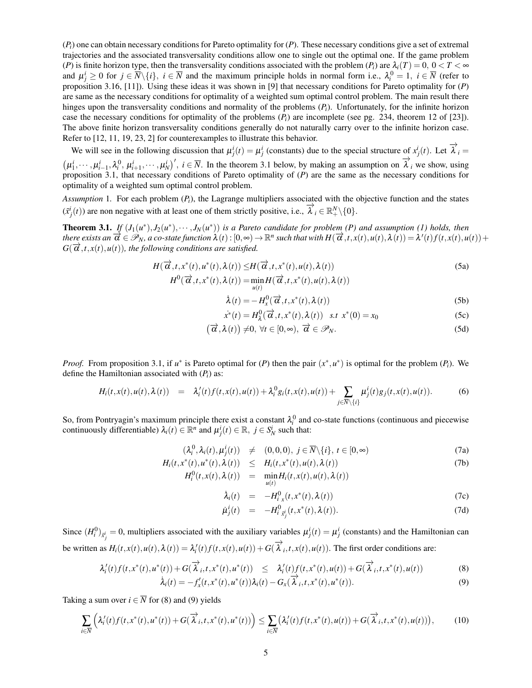(*Pi*) one can obtain necessary conditions for Pareto optimality for (*P*). These necessary conditions give a set of extremal trajectories and the associated transversality conditions allow one to single out the optimal one. If the game problem (*P*) is finite horizon type, then the transversality conditions associated with the problem  $(P_i)$  are  $\lambda_i(T) = 0$ ,  $0 < T < \infty$ and  $\mu_j^i \geq 0$  for  $j \in \overline{N} \setminus \{i\}$ ,  $i \in \overline{N}$  and the maximum principle holds in normal form i.e.,  $\lambda_i^0 = 1$ ,  $i \in \overline{N}$  (refer to proposition 3.16, [11]). Using these ideas it was shown in [9] that necessary conditions for Pareto optimality for (*P*) are same as the necessary conditions for optimality of a weighted sum optimal control problem. The main result there hinges upon the transversality conditions and normality of the problems (*Pi*). Unfortunately, for the infinite horizon case the necessary conditions for optimality of the problems  $(P_i)$  are incomplete (see pg. 234, theorem 12 of [23]). The above finite horizon transversality conditions generally do not naturally carry over to the infinite horizon case. Refer to [12, 11, 19, 23, 2] for counterexamples to illustrate this behavior.

We will see in the following discussion that  $\mu_j^i(t) = \mu_j^i$  (constants) due to the special structure of  $x_j^i(t)$ . Let  $\vec{\lambda}_i =$  $(\mu_1^i, \dots, \mu_{i-1}^i, \lambda_i^0, \mu_{i+1}^i, \dots, \mu_N^i)'$ ,  $i \in \overline{N}$ . In the theorem 3.1 below, by making an assumption on  $\overrightarrow{\lambda}_i$  we show, using proposition 3.1, that necessary conditions of Pareto optimality of (*P*) are the same as the necessary conditions for optimality of a weighted sum optimal control problem.

*Assumption* 1*.* For each problem (*Pi*), the Lagrange multipliers associated with the objective function and the states  $(\tilde{x}^i_j(t))$  are non negative with at least one of them strictly positive, i.e.,  $\overrightarrow{\lambda}_i \in \mathbb{R}^N_+\setminus\{0\}.$ 

**Theorem 3.1.** *If*  $(J_1(u^*), J_2(u^*), \cdots, J_N(u^*))$  *is a Pareto candidate for problem (P) and assumption (1) holds, then* there exists an  $\overrightarrow{\alpha} \in \mathscr{P}_N$ , a co-state function  $\overline{\lambda}(t):[0,\infty) \to \mathbb{R}^n$  such that with  $H(\overrightarrow{\alpha},t,x(t),u(t),\lambda(t)) = \lambda'(t)f(t,x(t),u(t)) +$  $G(\vec{\alpha}, t, x(t), u(t))$ , the following conditions are satisfied.

$$
H(\overrightarrow{\alpha}, t, x^*(t), u^*(t), \lambda(t)) \le H(\overrightarrow{\alpha}, t, x^*(t), u(t), \lambda(t))
$$
  
\n
$$
H^0(\overrightarrow{\alpha}, t, x^*(t), \lambda(t)) = \min_{u(t)} H(\overrightarrow{\alpha}, t, x^*(t), u(t), \lambda(t))
$$
\n(5a)

$$
\dot{\lambda}(t) = -H_{x}^{0}(\overrightarrow{\alpha}, t, x^{*}(t), \lambda(t))
$$
\n(5b)

$$
\dot{x}^*(t) = H^0_\lambda(\overrightarrow{\alpha}, t, x^*(t), \lambda(t)) \quad \text{s.t} \quad x^*(0) = x_0 \tag{5c}
$$

$$
(\overrightarrow{\alpha}, \lambda(t)) \neq 0, \forall t \in [0, \infty), \overrightarrow{\alpha} \in \mathscr{P}_N.
$$
\n(5d)

*Proof.* From proposition 3.1, if  $u^*$  is Pareto optimal for (*P*) then the pair  $(x^*, u^*)$  is optimal for the problem (*P*<sub>*i*</sub>). We define the Hamiltonian associated with  $(P_i)$  as:

$$
H_i(t, x(t), u(t), \lambda(t)) = \lambda'_i(t) f(t, x(t), u(t)) + \lambda_i^0 g_i(t, x(t), u(t)) + \sum_{j \in \overline{N} \setminus \{i\}} \mu_j^i(t) g_j(t, x(t), u(t)). \tag{6}
$$

So, from Pontryagin's maximum principle there exist a constant  $\lambda_i^0$  and co-state functions (continuous and piecewise continuously differentiable)  $\lambda_i(t) \in \mathbb{R}^n$  and  $\mu_j^i(t) \in \mathbb{R}, j \in S_N^i$  such that:

$$
(\lambda_i^0, \lambda_i(t), \mu_j^i(t)) \neq (0, 0, 0), \ j \in \overline{N} \setminus \{i\}, \ t \in [0, \infty)
$$
\n
$$
(7a)
$$

$$
H_i(t, x^*(t), u^*(t), \lambda(t)) \leq H_i(t, x^*(t), u(t), \lambda(t)) \tag{7b}
$$

$$
H_i^0(t,x(t),\lambda(t)) = \min_{u(t)} H_i(t,x(t),u(t),\lambda(t))
$$

$$
\dot{\lambda}_i(t) = -H_{i_x}^0(t, x^*(t), \lambda(t)) \tag{7c}
$$

$$
\dot{\mu}_j^i(t) = -H^0_{i \ \vec{x}_j^i}(t, x^*(t), \lambda(t)). \tag{7d}
$$

Since  $(H_i^0)_{\vec{x}_j^i} = 0$ , multipliers associated with the auxiliary variables  $\mu_j^i(t) = \mu_j^i$  (constants) and the Hamiltonian can be written as  $H_i(t, x(t), u(t), \lambda(t)) = \lambda'_i(t) f(t, x(t), u(t)) + G(\overrightarrow{\lambda}_i, t, x(t), u(t))$ . The first order conditions are:

$$
\lambda'_{i}(t)f(t,x^{*}(t),u^{*}(t)) + G(\overrightarrow{\lambda}_{i},t,x^{*}(t),u^{*}(t)) \leq \lambda'_{i}(t)f(t,x^{*}(t),u(t)) + G(\overrightarrow{\lambda}_{i},t,x^{*}(t),u(t)) \n\lambda_{i}(t) = -f'_{x}(t,x^{*}(t),u^{*}(t))\lambda_{i}(t) - G_{x}(\overrightarrow{\lambda}_{i},t,x^{*}(t),u^{*}(t)).
$$
\n(9)

Taking a sum over  $i \in \overline{N}$  for (8) and (9) yields

$$
\sum_{i\in\overline{N}}\left(\lambda_i'(t)f(t,x^*(t),u^*(t))+G(\overrightarrow{\lambda}_i,t,x^*(t),u^*(t))\right)\leq \sum_{i\in\overline{N}}\left(\lambda_i'(t)f(t,x^*(t),u(t))+G(\overrightarrow{\lambda}_i,t,x^*(t),u(t))\right),\qquad(10)
$$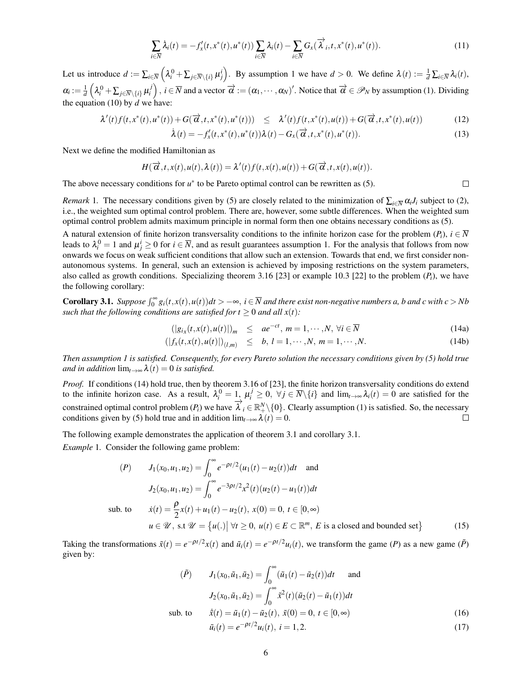$$
\sum_{i\in\overline{N}}\dot{\lambda}_i(t)=-f'_x(t,x^*(t),u^*(t))\sum_{i\in\overline{N}}\lambda_i(t)-\sum_{i\in\overline{N}}G_x(\overrightarrow{\lambda}_i,t,x^*(t),u^*(t)).
$$
\n(11)

Let us introduce  $d := \sum_{i \in \overline{N}} (\lambda_i^0 + \sum_{j \in \overline{N} \setminus \{i\}} \mu_j^i)$ . By assumption 1 we have  $d > 0$ . We define  $\lambda(t) := \frac{1}{d} \sum_{i \in \overline{N}} \lambda_i(t)$ ,  $\alpha_i := \frac{1}{d} \left( \lambda_i^0 + \sum_{j \in \overline{N} \setminus \{i\}} \mu_i^j \right), i \in \overline{N}$  and a vector  $\overrightarrow{\alpha} := (\alpha_1, \dots, \alpha_N)'$ . Notice that  $\overrightarrow{\alpha} \in \mathscr{P}_N$  by assumption (1). Dividing the equation  $(10)$  by  $d$  we have:

$$
\lambda'(t)f(t,x^*(t),u^*(t)) + G(\overrightarrow{\alpha},t,x^*(t),u^*(t))) \leq \lambda'(t)f(t,x^*(t),u(t)) + G(\overrightarrow{\alpha},t,x^*(t),u(t)) \tag{12}
$$

$$
\dot{\lambda}(t) = -f'_x(t, x^*(t), u^*(t))\lambda(t) - G_x(\overrightarrow{\alpha}, t, x^*(t), u^*(t)).
$$
\n(13)

Next we define the modified Hamiltonian as

$$
H(\overrightarrow{\alpha},t,x(t),u(t),\lambda(t))=\lambda'(t)f(t,x(t),u(t))+G(\overrightarrow{\alpha},t,x(t),u(t)).
$$

The above necessary conditions for  $u^*$  to be Pareto optimal control can be rewritten as  $(5)$ .

*Remark* 1. The necessary conditions given by (5) are closely related to the minimization of  $\sum_{i\in\overline{N}} \alpha_i J_i$  subject to (2), i.e., the weighted sum optimal control problem. There are, however, some subtle differences. When the weighted sum optimal control problem admits maximum principle in normal form then one obtains necessary conditions as (5).

A natural extension of finite horizon transversality conditions to the infinite horizon case for the problem  $(P_i)$ ,  $i \in \overline{N}$ leads to  $\lambda_i^0 = 1$  and  $\mu_j^i \ge 0$  for  $i \in \overline{N}$ , and as result guarantees assumption 1. For the analysis that follows from now onwards we focus on weak sufficient conditions that allow such an extension. Towards that end, we first consider nonautonomous systems. In general, such an extension is achieved by imposing restrictions on the system parameters, also called as growth conditions. Specializing theorem 3.16 [23] or example 10.3 [22] to the problem  $(P_i)$ , we have the following corollary:

**Corollary 3.1.** *Suppose*  $\int_0^\infty g_i(t, x(t), u(t)) dt > -\infty$ ,  $i \in \overline{N}$  and there exist non-negative numbers a, b and c with  $c > Nb$ *such that the following conditions are satisfied for*  $t \geq 0$  *and all*  $x(t)$ *:* 

$$
(|g_{i_x}(t, x(t), u(t)|)_{m} \leq ae^{-ct}, m = 1, \cdots, N, \forall i \in \overline{N}
$$
\n(14a)

$$
(|f_x(t, x(t), u(t)|)_{(l,m)} \leq b, l = 1, \cdots, N, m = 1, \cdots, N.
$$
 (14b)

*Then assumption 1 is satisfied. Consequently, for every Pareto solution the necessary conditions given by (5) hold true and in addition*  $\lim_{t\to\infty} \lambda(t) = 0$  *is satisfied.* 

*Proof.* If conditions (14) hold true, then by theorem 3.16 of [23], the finite horizon transversality conditions do extend to the infinite horizon case. As a result,  $\lambda_i^0 = 1$ ,  $\mu_i^j \ge 0$ ,  $\forall j \in \overline{N} \setminus \{i\}$  and  $\lim_{t \to \infty} \lambda_i(t) = 0$  are satisfied for the constrained optimal control problem  $(P_i)$  we have  $\overrightarrow{\lambda}_i \in \mathbb{R}^N_+ \setminus \{0\}$ . Clearly assumption (1) is satisfied. So, the necessary conditions given by (5) hold true and in addition  $\lim_{t\to\infty} \lambda(t) = 0$ .

The following example demonstrates the application of theorem 3.1 and corollary 3.1.

*Example* 1*.* Consider the following game problem:

$$
(P) \qquad J_1(x_0, u_1, u_2) = \int_0^\infty e^{-\rho t/2} (u_1(t) - u_2(t)) dt \quad \text{and}
$$
\n
$$
J_2(x_0, u_1, u_2) = \int_0^\infty e^{-3\rho t/2} x^2(t) (u_2(t) - u_1(t)) dt
$$
\nsub. to

\n
$$
\dot{x}(t) = \frac{\rho}{2} x(t) + u_1(t) - u_2(t), \ x(0) = 0, \ t \in [0, \infty)
$$
\n
$$
u \in \mathcal{U}, \text{ s.t } \mathcal{U} = \{u(.) \mid \forall t \ge 0, \ u(t) \in E \subset \mathbb{R}^m, \ E \text{ is a closed and bounded set}\}
$$
\n
$$
(15)
$$

Taking the transformations  $\tilde{x}(t) = e^{-\rho t/2}x(t)$  and  $\tilde{u}_i(t) = e^{-\rho t/2}u_i(t)$ , we transform the game (P) as a new game (P) given by:

$$
(\tilde{P}) \qquad J_1(x_0, \tilde{u}_1, \tilde{u}_2) = \int_0^\infty (\tilde{u}_1(t) - \tilde{u}_2(t))dt \qquad \text{and}
$$

$$
J_2(x_0, \tilde{u}_1, \tilde{u}_2) = \int_0^\infty \tilde{x}^2(t) (\tilde{u}_2(t) - \tilde{u}_1(t))dt
$$
sub. to  $\qquad \tilde{x}(t) = \tilde{u}_1(t) - \tilde{u}_2(t), \ \tilde{x}(0) = 0, \ t \in [0, \infty)$ 
$$
\tilde{u}_i(t) = e^{-\rho t/2} u_i(t), \ i = 1, 2. \tag{17}
$$

 $\Box$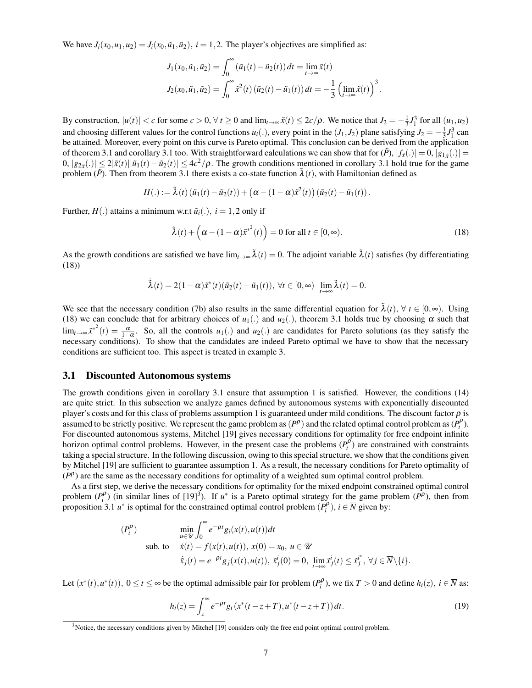We have  $J_i(x_0, u_1, u_2) = J_i(x_0, \tilde{u}_1, \tilde{u}_2)$ ,  $i = 1, 2$ . The player's objectives are simplified as:

$$
J_1(x_0, \tilde{u}_1, \tilde{u}_2) = \int_0^\infty (\tilde{u}_1(t) - \tilde{u}_2(t)) dt = \lim_{t \to \infty} \tilde{x}(t)
$$
  

$$
J_2(x_0, \tilde{u}_1, \tilde{u}_2) = \int_0^\infty \tilde{x}^2(t) (\tilde{u}_2(t) - \tilde{u}_1(t)) dt = -\frac{1}{3} \left( \lim_{t \to \infty} \tilde{x}(t) \right)^3.
$$

By construction,  $|u(t)| < c$  for some  $c > 0$ ,  $\forall t \ge 0$  and  $\lim_{t \to \infty} \tilde{x}(t) \le 2c/\rho$ . We notice that  $J_2 = -\frac{1}{3}J_1^3$  for all  $(u_1, u_2)$ and choosing different values for the control functions  $u_i(.)$ , every point in the  $(J_1, J_2)$  plane satisfying  $J_2 = -\frac{1}{3}J_1^3$  can be attained. Moreover, every point on this curve is Pareto optimal. This conclusion can be derived from the application of theorem 3.1 and corollary 3.1 too. With straightforward calculations we can show that for  $(\tilde{P}), |f_{\tilde{x}}(.)| = 0, |g_{1\tilde{x}}(.)| = 0$  $|0, |g_{2\tilde{x}}(.)| \leq 2|\tilde{x}(t)||\tilde{u}_1(t) - \tilde{u}_2(t)| \leq 4c^2/\rho$ . The growth conditions mentioned in corollary 3.1 hold true for the game problem ( $\tilde{P}$ ). Then from theorem 3.1 there exists a co-state function  $\tilde{\lambda}(t)$ , with Hamiltonian defined as

$$
H(.) := \tilde{\lambda}(t) \left( \tilde{u}_1(t) - \tilde{u}_2(t) \right) + \left( \alpha - (1 - \alpha) \tilde{x}^2(t) \right) \left( \tilde{u}_2(t) - \tilde{u}_1(t) \right).
$$

Further,  $H(.)$  attains a minimum w.r.t  $\tilde{u}_i(.)$ ,  $i = 1,2$  only if

$$
\tilde{\lambda}(t) + \left(\alpha - (1 - \alpha)\tilde{x}^{*^2}(t)\right) = 0 \text{ for all } t \in [0, \infty).
$$
\n(18)

As the growth conditions are satisfied we have  $\lim_{t\to\infty} \tilde{\lambda}(t) = 0$ . The adjoint variable  $\tilde{\lambda}(t)$  satisfies (by differentiating (18))

$$
\dot{\tilde{\lambda}}(t) = 2(1-\alpha)\tilde{x}^*(t)(\tilde{u}_2(t) - \tilde{u}_1(t)), \ \forall t \in [0, \infty) \ \lim_{t \to \infty} \tilde{\lambda}(t) = 0.
$$

We see that the necessary condition (7b) also results in the same differential equation for  $\tilde{\lambda}(t)$ ,  $\forall t \in [0,\infty)$ . Using (18) we can conclude that for arbitrary choices of  $u_1(.)$  and  $u_2(.)$ , theorem 3.1 holds true by choosing  $\alpha$  such that lim<sub>t→∞</sub>  $\tilde{x}^{*2}(t) = \frac{\alpha}{1-\alpha}$ . So, all the controls *u*<sub>1</sub>(.) and *u*<sub>2</sub>(.) are candidates for Pareto solutions (as they satisfy the necessary conditions). To show that the candidates are indeed Pareto optimal we have to show that the necessary conditions are sufficient too. This aspect is treated in example 3.

#### 3.1 Discounted Autonomous systems

The growth conditions given in corollary 3.1 ensure that assumption 1 is satisfied. However, the conditions (14) are quite strict. In this subsection we analyze games defined by autonomous systems with exponentially discounted player's costs and for this class of problems assumption 1 is guaranteed under mild conditions. The discount factor  $\rho$  is assumed to be strictly positive. We represent the game problem as  $(P^{\rho})$  and the related optimal control problem as  $(P_i^{\rho})$ . For discounted autonomous systems, Mitchel [19] gives necessary conditions for optimality for free endpoint infinite horizon optimal control problems. However, in the present case the problems  $(P_i^{\rho})$  are constrained with constraints taking a special structure. In the following discussion, owing to this special structure, we show that the conditions given by Mitchel [19] are sufficient to guarantee assumption 1. As a result, the necessary conditions for Pareto optimality of  $(P^{\rho})$  are the same as the necessary conditions for optimality of a weighted sum optimal control problem.

As a first step, we derive the necessary conditions for optimality for the mixed endpoint constrained optimal control problem  $(P_i^{\rho})$  (in similar lines of [19]<sup>3</sup>). If  $u^*$  is a Pareto optimal strategy for the game problem  $(P^{\rho})$ , then from proposition 3.1 *u*<sup>\*</sup> is optimal for the constrained optimal control problem  $(P_i^{\rho})$ ,  $i \in \overline{N}$  given by:

$$
(P_i^{\rho})
$$
 
$$
\min_{u \in \mathcal{U}} \int_0^{\infty} e^{-\rho t} g_i(x(t), u(t)) dt
$$
  
sub. to  $\dot{x}(t) = f(x(t), u(t)), x(0) = x_0, u \in \mathcal{U}$   
 $\dot{\tilde{x}}_j(t) = e^{-\rho t} g_j(x(t), u(t)), \tilde{x}_j'(0) = 0, \lim_{t \to \infty} \tilde{x}_j'(t) \le \tilde{x}_j^{*}, \forall j \in \overline{N} \setminus \{i\}.$ 

Let  $(x^*(t), u^*(t))$ ,  $0 \le t \le \infty$  be the optimal admissible pair for problem  $(P_i^{\rho})$ , we fix  $T > 0$  and define  $h_i(z)$ ,  $i \in \overline{N}$  as:

$$
h_i(z) = \int_z^{\infty} e^{-\rho t} g_i(x^*(t - z + T), u^*(t - z + T)) dt.
$$
 (19)

<sup>&</sup>lt;sup>3</sup>Notice, the necessary conditions given by Mitchel [19] considers only the free end point optimal control problem.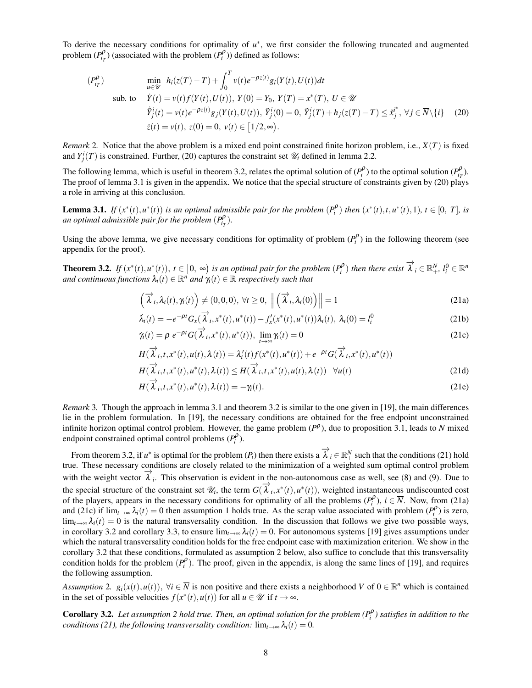To derive the necessary conditions for optimality of *u* ∗ , we first consider the following truncated and augmented problem  $(P_{i_T}^{\rho})$  (associated with the problem  $(P_i^{\rho})$ ) defined as follows:

$$
(P_{i_T}^{\rho}) \t\min_{u \in \mathcal{U}} h_i(z(T) - T) + \int_0^T v(t)e^{-\rho z(t)}g_i(Y(t), U(t))dt
$$
  
\nsub. to  $\dot{Y}(t) = v(t)f(Y(t), U(t)), Y(0) = Y_0, Y(T) = x^*(T), U \in \mathcal{U}$   
\n $\dot{\tilde{Y}}_j^i(t) = v(t)e^{-\rho z(t)}g_j(Y(t), U(t)), \tilde{Y}_j^i(0) = 0, \tilde{Y}_j^i(T) + h_j(z(T) - T) \le \tilde{x}_j^{i^*}, \forall j \in \overline{N} \setminus \{i\}$  (20)  
\n $\dot{z}(t) = v(t), z(0) = 0, v(t) \in [1/2, \infty).$ 

*Remark* 2*.* Notice that the above problem is a mixed end point constrained finite horizon problem, i.e., *X*(*T*) is fixed and  $Y_j^i(T)$  is constrained. Further, (20) captures the constraint set  $\mathcal{U}_i$  defined in lemma 2.2.

The following lemma, which is useful in theorem 3.2, relates the optimal solution of  $(P_i^{\rho})$  to the optimal solution  $(P_i^{\rho})$ . The proof of lemma 3.1 is given in the appendix. We notice that the special structure of constraints given by (20) plays a role in arriving at this conclusion.

**Lemma 3.1.** If  $(x^*(t), u^*(t))$  is an optimal admissible pair for the problem  $(P_t^{\rho})$  then  $(x^*(t), t, u^*(t), 1)$ ,  $t \in [0, T]$ , is an optimal admissible pair for the problem  $(P_{i_T}^{\rho})$ .

Using the above lemma, we give necessary conditions for optimality of problem  $(P_i^{\rho})$  in the following theorem (see appendix for the proof).

**Theorem 3.2.** If  $(x^*(t), u^*(t)), t \in [0, \infty)$  is an optimal pair for the problem  $(P_i^{\rho})$  then there exist  $\overrightarrow{\lambda}_i \in \mathbb{R}^N_+$ ,  $l_i^0 \in \mathbb{R}^n$ *and continuous functions*  $\lambda_i(t) \in \mathbb{R}^n$  *and*  $\gamma_i(t) \in \mathbb{R}$  *respectively such that* 

$$
\left(\overrightarrow{\lambda}_{i}, \lambda_{i}(t), \gamma_{i}(t)\right) \neq (0, 0, 0), \forall t \geq 0, \left\|\left(\overrightarrow{\lambda}_{i}, \lambda_{i}(0)\right)\right\| = 1
$$
\n(21a)

$$
\dot{\lambda}_i(t) = -e^{-\rho t} G_x(\overrightarrow{\lambda}_i, x^*(t), u^*(t)) - f'_x(x^*(t), u^*(t))\lambda_i(t), \lambda_i(0) = l_i^0
$$
\n(21b)

$$
\dot{\gamma}_i(t) = \rho \ e^{-\rho t} G(\overrightarrow{\lambda}_i, x^*(t), u^*(t)), \ \lim_{t \to \infty} \gamma_i(t) = 0
$$
\n(21c)

$$
H(\overrightarrow{\lambda}_{i},t,x^{*}(t),u(t),\lambda(t)) = \lambda'_{i}(t)f(x^{*}(t),u^{*}(t)) + e^{-\rho t}G(\overrightarrow{\lambda}_{i},x^{*}(t),u^{*}(t))
$$
  

$$
H(\overrightarrow{\lambda}_{i},t,x^{*}(t),u^{*}(t),\lambda(t)) \leq H(\overrightarrow{\lambda}_{i},t,x^{*}(t),u(t),\lambda(t)) \quad \forall u(t)
$$
 (21d)

$$
H(\overrightarrow{\lambda}_{i},t,x^{*}(t),u^{*}(t),\lambda(t)) \leq H(\overrightarrow{\lambda}_{i},t,x^{*}(t),u(t),\lambda(t)) \quad \forall u(t)
$$
\n(21d)

$$
H(\overrightarrow{\lambda}_i, t, x^*(t), u^*(t), \lambda(t)) = -\gamma_i(t). \tag{21e}
$$

*Remark* 3*.* Though the approach in lemma 3.1 and theorem 3.2 is similar to the one given in [19], the main differences lie in the problem formulation. In [19], the necessary conditions are obtained for the free endpoint unconstrained infinite horizon optimal control problem. However, the game problem (*P* ρ ), due to proposition 3.1, leads to *N* mixed endpoint constrained optimal control problems  $(P_i^{\rho})$ .

From theorem 3.2, if  $u^*$  is optimal for the problem  $(P_i)$  then there exists a  $\vec{\lambda}_i \in \mathbb{R}^N_+$  such that the conditions (21) hold true. These necessary conditions are closely related to the minimization of a weighted sum optimal control problem with the weight vector  $\overrightarrow{\lambda}_i$ . This observation is evident in the non-autonomous case as well, see (8) and (9). Due to the special structure of the constraint set  $\mathcal{U}_i$ , the term  $G(\vec{\lambda}_i, x^*(t), u^*(t))$ , weighted instantaneous undiscounted cost of the players, appears in the necessary conditions for optimality of all the problems  $(P_i^{\rho})$ ,  $i \in \overline{N}$ . Now, from (21a) and (21c) if  $\lim_{t\to\infty} \lambda_i(t) = 0$  then assumption 1 holds true. As the scrap value associated with problem  $(P_i^{\rho})$  is zero, lim<sub>*t*→∞</sub>  $\lambda_i(t) = 0$  is the natural transversality condition. In the discussion that follows we give two possible ways, in corollary 3.2 and corollary 3.3, to ensure  $\lim_{t\to\infty} \lambda_i(t) = 0$ . For autonomous systems [19] gives assumptions under which the natural transversality condition holds for the free endpoint case with maximization criterion. We show in the corollary 3.2 that these conditions, formulated as assumption 2 below, also suffice to conclude that this transversality condition holds for the problem  $(P_i^{\rho})$ . The proof, given in the appendix, is along the same lines of [19], and requires the following assumption.

*Assumption* 2*.*  $g_i(x(t), u(t))$ ,  $\forall i \in \overline{N}$  is non positive and there exists a neighborhood *V* of  $0 \in \mathbb{R}^n$  which is contained in the set of possible velocities  $f(x^*(t), u(t))$  for all  $u \in \mathcal{U}$  if  $t \to \infty$ .

**Corollary 3.2.** Let assumption 2 hold true. Then, an optimal solution for the problem  $(P_i^{\rho})$  satisfies in addition to the *conditions (21), the following transversality condition:*  $\lim_{t\to\infty} \lambda_i(t) = 0$ .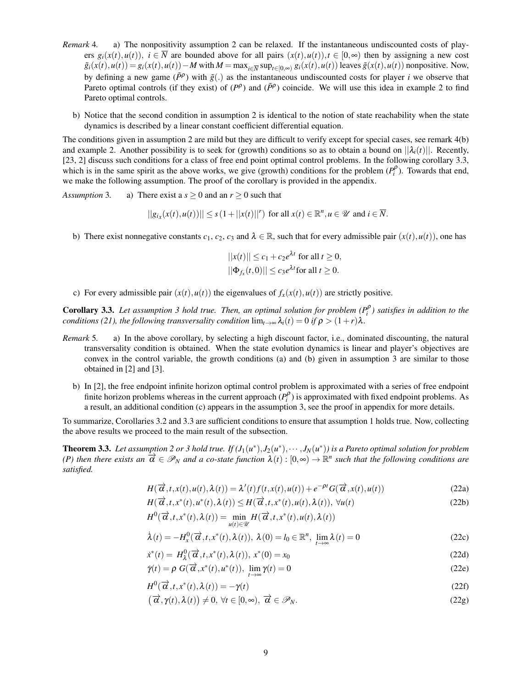- *Remark* 4*.* a) The nonpositivity assumption 2 can be relaxed. If the instantaneous undiscounted costs of players  $g_i(x(t), u(t))$ ,  $i \in \overline{N}$  are bounded above for all pairs  $(x(t), u(t))$ ,  $t \in [0, \infty)$  then by assigning a new cost  $\tilde{g}_i(x(t), u(t)) = g_i(x(t), u(t)) - M$  with  $M = \max_{i \in \overline{N}} \sup_{t \in [0, \infty)} g_i(x(t), u(t))$  leaves  $\tilde{g}(x(t), u(t))$  nonpositive. Now, by defining a new game  $(\tilde{P}^{\rho})$  with  $\tilde{g}(.)$  as the instantaneous undiscounted costs for player *i* we observe that Pareto optimal controls (if they exist) of  $(P^{\rho})$  and  $(\tilde{P}^{\rho})$  coincide. We will use this idea in example 2 to find Pareto optimal controls.
	- b) Notice that the second condition in assumption 2 is identical to the notion of state reachability when the state dynamics is described by a linear constant coefficient differential equation.

The conditions given in assumption 2 are mild but they are difficult to verify except for special cases, see remark 4(b) and example 2. Another possibility is to seek for (growth) conditions so as to obtain a bound on  $||\lambda_i(t)||$ . Recently, [23, 2] discuss such conditions for a class of free end point optimal control problems. In the following corollary 3.3, which is in the same spirit as the above works, we give (growth) conditions for the problem  $(P_i^{\rho})$ . Towards that end, we make the following assumption. The proof of the corollary is provided in the appendix.

*Assumption* 3. a) There exist a  $s \ge 0$  and an  $r \ge 0$  such that

 $||g_{iX}(x(t), u(t))|| \leq s(1 + ||x(t)||^r)$  for all  $x(t) \in \mathbb{R}^n, u \in \mathcal{U}$  and  $i \in \overline{N}$ .

b) There exist nonnegative constants  $c_1$ ,  $c_2$ ,  $c_3$  and  $\lambda \in \mathbb{R}$ , such that for every admissible pair  $(x(t), u(t))$ , one has

$$
||x(t)|| \le c_1 + c_2 e^{\lambda t} \text{ for all } t \ge 0,
$$
  

$$
||\Phi_{f_x}(t,0)|| \le c_3 e^{\lambda t} \text{ for all } t \ge 0.
$$

c) For every admissible pair  $(x(t), u(t))$  the eigenvalues of  $f_x(x(t), u(t))$  are strictly positive.

**Corollary 3.3.** Let assumption 3 hold true. Then, an optimal solution for problem  $(P_i^{\rho})$  satisfies in addition to the *conditions (21), the following transversality condition*  $\lim_{t\to\infty} \lambda_i(t) = 0$  *if*  $\rho > (1+r)\lambda$ *.* 

- *Remark* 5*.* a) In the above corollary, by selecting a high discount factor, i.e., dominated discounting, the natural transversality condition is obtained. When the state evolution dynamics is linear and player's objectives are convex in the control variable, the growth conditions (a) and (b) given in assumption 3 are similar to those obtained in [2] and [3].
	- b) In [2], the free endpoint infinite horizon optimal control problem is approximated with a series of free endpoint finite horizon problems whereas in the current approach  $(P_i^{\rho})$  is approximated with fixed endpoint problems. As a result, an additional condition (c) appears in the assumption 3, see the proof in appendix for more details.

To summarize, Corollaries 3.2 and 3.3 are sufficient conditions to ensure that assumption 1 holds true. Now, collecting the above results we proceed to the main result of the subsection.

**Theorem 3.3.** Let assumption 2 or 3 hold true. If  $(J_1(u^*), J_2(u^*), \cdots, J_N(u^*))$  is a Pareto optimal solution for problem  $(P)$  then there exists an  $\overrightarrow{\alpha} \in \mathcal{P}_N$  and a co-state function  $\lambda(t):[0,\infty) \to \mathbb{R}^n$  such that the following conditions are *satisfied.*

$$
H(\overrightarrow{\alpha},t,x(t),u(t),\lambda(t)) = \lambda'(t)f(t,x(t),u(t)) + e^{-\rho t}G(\overrightarrow{\alpha},x(t),u(t))
$$
\n(22a)

$$
H(\overrightarrow{\alpha},t,x^*(t),u^*(t),\lambda(t)) \leq H(\overrightarrow{\alpha},t,x^*(t),u(t),\lambda(t)), \forall u(t)
$$
\n(22b)

$$
H^0(\overrightarrow{\bm{\alpha}},t,x^*(t),\bm{\lambda}(t))=\min_{u(t)\in\mathscr{U}}H(\overrightarrow{\bm{\alpha}},t,x^*(t),u(t),\bm{\lambda}(t))
$$

$$
\dot{\lambda}(t) = -H_x^0(\vec{\alpha}, t, x^*(t), \lambda(t)), \lambda(0) = l_0 \in \mathbb{R}^n, \lim_{t \to \infty} \lambda(t) = 0
$$
\n(22c)

- $\dot{x}^*(t) = H^0_\lambda(\vec{\alpha}, t, x^*(t), \lambda(t)), x^*(0) = x_0$  (22d)
- $\dot{\gamma}(t) = \rho \ G(\vec{\alpha}, x^*(t), u^*(t)), \lim_{t \to \infty} \gamma(t) = 0$  (22e)

$$
H^{0}(\overrightarrow{\alpha},t,x^{*}(t),\lambda(t)) = -\gamma(t)
$$
\n(22f)

$$
(\overrightarrow{\alpha}, \gamma(t), \lambda(t)) \neq 0, \forall t \in [0, \infty), \overrightarrow{\alpha} \in \mathscr{P}_N.
$$
 (22g)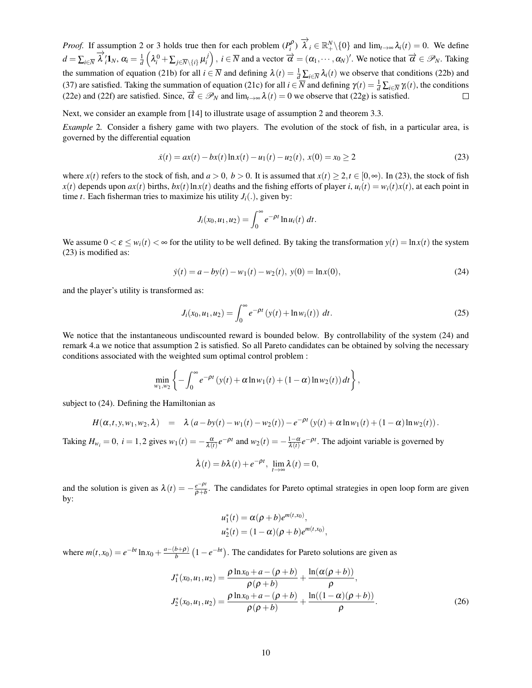*Proof.* If assumption 2 or 3 holds true then for each problem  $(P_i^p)$   $\overrightarrow{\lambda}_i \in \mathbb{R}^N_+\setminus\{0\}$  and  $\lim_{t\to\infty} \lambda_i(t) = 0$ . We define  $d = \sum_{i \in \overline{N}} \overrightarrow{\lambda}'_i \mathbf{1}_N$ ,  $\alpha_i = \frac{1}{d} \left( \lambda_i^0 + \sum_{j \in \overline{N} \setminus \{i\}} \mu_i^j \right)$ ,  $i \in \overline{N}$  and a vector  $\overrightarrow{\alpha} = (\alpha_1, \dots, \alpha_N)'$ . We notice that  $\overrightarrow{\alpha} \in \mathcal{P}_N$ . Taking the summation of equation (21b) for all  $i \in \overline{N}$  and defining  $\lambda(t) = \frac{1}{d} \sum_{i \in \overline{N}} \lambda_i(t)$  we observe that conditions (22b) and (37) are satisfied. Taking the summation of equation (21c) for all  $i \in \overline{N}$  and defining  $\gamma(t) = \frac{1}{d} \sum_{i \in \overline{N}} \gamma_i(t)$ , the conditions (22e) and (22f) are satisfied. Since,  $\vec{\alpha} \in \mathcal{P}_N$  and  $\lim_{t \to \infty} \lambda(t) = 0$  we observe that (22g) is satisfied.  $\Box$ 

Next, we consider an example from [14] to illustrate usage of assumption 2 and theorem 3.3.

*Example* 2*.* Consider a fishery game with two players. The evolution of the stock of fish, in a particular area, is governed by the differential equation

$$
\dot{x}(t) = ax(t) - bx(t)\ln x(t) - u_1(t) - u_2(t), \ x(0) = x_0 \ge 2
$$
\n(23)

where  $x(t)$  refers to the stock of fish, and  $a > 0$ ,  $b > 0$ . It is assumed that  $x(t) \geq 2$ ,  $t \in [0, \infty)$ . In (23), the stock of fish  $x(t)$  depends upon  $ax(t)$  births,  $bx(t)$  ln $x(t)$  deaths and the fishing efforts of player i,  $u_i(t) = w_i(t)x(t)$ , at each point in time *t*. Each fisherman tries to maximize his utility  $J_i(.)$ , given by:

$$
J_i(x_0,u_1,u_2)=\int_0^\infty e^{-\rho t}\ln u_i(t)\,dt.
$$

We assume  $0 < \varepsilon \le w_i(t) < \infty$  for the utility to be well defined. By taking the transformation  $y(t) = \ln x(t)$  the system (23) is modified as:

$$
\dot{y}(t) = a - by(t) - w_1(t) - w_2(t), \ y(0) = \ln x(0), \tag{24}
$$

and the player's utility is transformed as:

$$
J_i(x_0, u_1, u_2) = \int_0^\infty e^{-\rho t} (y(t) + \ln w_i(t)) dt.
$$
 (25)

We notice that the instantaneous undiscounted reward is bounded below. By controllability of the system (24) and remark 4.a we notice that assumption 2 is satisfied. So all Pareto candidates can be obtained by solving the necessary conditions associated with the weighted sum optimal control problem :

$$
\min_{w_1,w_2}\left\{-\int_0^\infty e^{-\rho t}\left(y(t)+\alpha\ln w_1(t)+(1-\alpha)\ln w_2(t)\right)dt\right\},\,
$$

subject to (24). Defining the Hamiltonian as

$$
H(\alpha, t, y, w_1, w_2, \lambda) = \lambda (a - by(t) - w_1(t) - w_2(t)) - e^{-\rho t} (y(t) + \alpha \ln w_1(t) + (1 - \alpha) \ln w_2(t)).
$$

Taking  $H_{w_i} = 0$ ,  $i = 1, 2$  gives  $w_1(t) = -\frac{\alpha}{\lambda(t)} e^{-\rho t}$  and  $w_2(t) = -\frac{1-\alpha}{\lambda(t)} e^{-\rho t}$ . The adjoint variable is governed by

$$
\dot{\lambda}(t) = b\lambda(t) + e^{-\rho t}, \lim_{t \to \infty} \lambda(t) = 0,
$$

and the solution is given as  $\lambda(t) = -\frac{e^{-\rho t}}{\rho + k}$  $\frac{e^{-\mu}}{\rho+b}$ . The candidates for Pareto optimal strategies in open loop form are given by:

$$
u_1^*(t) = \alpha(\rho + b)e^{m(t,x_0)},
$$
  

$$
u_2^*(t) = (1 - \alpha)(\rho + b)e^{m(t,x_0)}
$$

where  $m(t, x_0) = e^{-bt} \ln x_0 + \frac{a - (b + \rho)}{b} (1 - e^{-bt})$ . The candidates for Pareto solutions are given as

$$
J_1^*(x_0, u_1, u_2) = \frac{\rho \ln x_0 + a - (\rho + b)}{\rho(\rho + b)} + \frac{\ln(\alpha(\rho + b))}{\rho},
$$
  

$$
J_2^*(x_0, u_1, u_2) = \frac{\rho \ln x_0 + a - (\rho + b)}{\rho(\rho + b)} + \frac{\ln((1 - \alpha)(\rho + b))}{\rho}.
$$
 (26)

,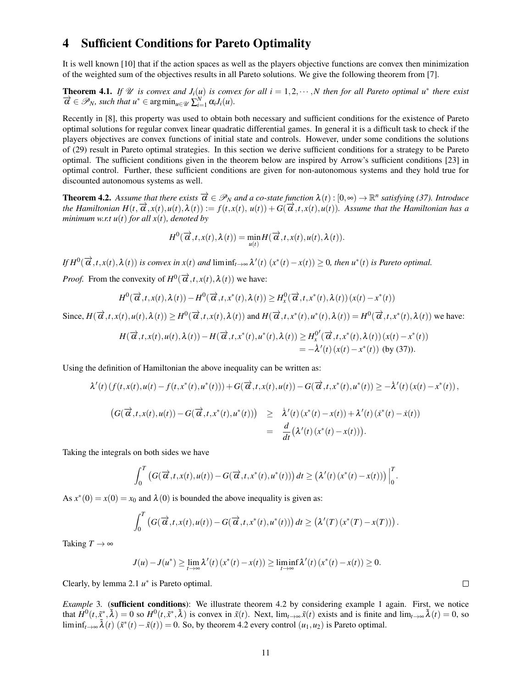# 4 Sufficient Conditions for Pareto Optimality

It is well known [10] that if the action spaces as well as the players objective functions are convex then minimization of the weighted sum of the objectives results in all Pareto solutions. We give the following theorem from [7].

**Theorem 4.1.** If  $\mathcal{U}$  is convex and  $J_i(u)$  is convex for all  $i = 1, 2, \dots, N$  then for all Pareto optimal  $u^*$  there exist  $\overrightarrow{\alpha} \in \mathcal{P}_N$ *, such that*  $u^* \in \arg\min_{u \in \mathcal{U}} \sum_{i=1}^N \alpha_i J_i(u)$ *.* 

Recently in [8], this property was used to obtain both necessary and sufficient conditions for the existence of Pareto optimal solutions for regular convex linear quadratic differential games. In general it is a difficult task to check if the players objectives are convex functions of initial state and controls. However, under some conditions the solutions of (29) result in Pareto optimal strategies. In this section we derive sufficient conditions for a strategy to be Pareto optimal. The sufficient conditions given in the theorem below are inspired by Arrow's sufficient conditions [23] in optimal control. Further, these sufficient conditions are given for non-autonomous systems and they hold true for discounted autonomous systems as well.

**Theorem 4.2.** Assume that there exists  $\overrightarrow{\alpha} \in \mathcal{P}_N$  and a co-state function  $\lambda(t):[0,\infty) \to \mathbb{R}^n$  satisfying (37). Introduce the Hamiltonian  $H(t, \overrightarrow{\alpha}, x(t), u(t), \lambda(t)) := f(t, x(t), u(t)) + G(\overrightarrow{\alpha}, t, x(t), u(t))$ . Assume that the Hamiltonian has a *minimum w.r.t*  $u(t)$  *for all*  $x(t)$ *, denoted by* 

$$
H^{0}(\overrightarrow{\alpha},t,x(t),\lambda(t))=\min_{u(t)}H(\overrightarrow{\alpha},t,x(t),u(t),\lambda(t)).
$$

If  $H^0(\vec{\alpha},t,x(t),\lambda(t))$  is convex in  $x(t)$  and  $\liminf_{t\to\infty}\lambda'(t)(x^*(t)-x(t))\geq 0$ , then  $u^*(t)$  is Pareto optimal.

*Proof.* From the convexity of  $H^0(\vec{\alpha}, t, x(t), \lambda(t))$  we have:

$$
H^0(\overrightarrow{\alpha},t,x(t),\lambda(t))-H^0(\overrightarrow{\alpha},t,x^*(t),\lambda(t))\geq H^0_x(\overrightarrow{\alpha},t,x^*(t),\lambda(t))(x(t)-x^*(t))
$$

Since,  $H(\overrightarrow{\alpha},t,x(t),u(t),\lambda(t)) \geq H^0(\overrightarrow{\alpha},t,x(t),\lambda(t))$  and  $H(\overrightarrow{\alpha},t,x^*(t),u^*(t),\lambda(t)) = H^0(\overrightarrow{\alpha},t,x^*(t),\lambda(t))$  we have:

$$
H(\overrightarrow{\alpha},t,x(t),u(t),\lambda(t)) - H(\overrightarrow{\alpha},t,x^*(t),u^*(t),\lambda(t)) \geq H_x^{0'}(\overrightarrow{\alpha},t,x^*(t),\lambda(t)) (x(t)-x^*(t))
$$
  
=  $-\lambda'(t) (x(t)-x^*(t))$  (by (37)).

Using the definition of Hamiltonian the above inequality can be written as:

$$
\lambda'(t) \left( f(t, x(t), u(t) - f(t, x^*(t), u^*(t))) + G(\overrightarrow{\alpha}, t, x(t), u(t)) - G(\overrightarrow{\alpha}, t, x^*(t), u^*(t)) \ge -\lambda'(t) \left( x(t) - x^*(t) \right),
$$
\n
$$
\left( G(\overrightarrow{\alpha}, t, x(t), u(t)) - G(\overrightarrow{\alpha}, t, x^*(t), u^*(t)) \right) \ge \lambda'(t) \left( x^*(t) - x(t) \right) + \lambda'(t) \left( x^*(t) - x(t) \right)
$$
\n
$$
= \frac{d}{dt} \left( \lambda'(t) \left( x^*(t) - x(t) \right) \right).
$$

Taking the integrals on both sides we have

$$
\int_0^T \left( G(\overrightarrow{\alpha}, t, x(t), u(t)) - G(\overrightarrow{\alpha}, t, x^*(t), u^*(t)) \right) dt \geq \left( \lambda'(t) \left( x^*(t) - x(t) \right) \right) \Big|_0^T.
$$

As  $x^*(0) = x(0) = x_0$  and  $\lambda(0)$  is bounded the above inequality is given as:

$$
\int_0^T \left( G(\overrightarrow{\alpha},t,x(t),u(t)) - G(\overrightarrow{\alpha},t,x^*(t),u^*(t)) \right) dt \geq \left( \lambda'(T) \left( x^*(T) - x(T) \right) \right).
$$

Taking  $T \rightarrow \infty$ 

$$
J(u)-J(u^*) \geq \lim_{t\to\infty} \lambda'(t) \left(x^*(t)-x(t)\right) \geq \liminf_{t\to\infty} \lambda'(t) \left(x^*(t)-x(t)\right) \geq 0.
$$

Clearly, by lemma 2.1  $u^*$  is Pareto optimal.

*Example* 3. (sufficient conditions): We illustrate theorem 4.2 by considering example 1 again. First, we notice that  $\hat{H}^0(t, \tilde{x}^*, \tilde{\lambda}) = 0$  so  $H^0(t, \tilde{x}^*, \tilde{\lambda})$  is convex in  $\tilde{x}(t)$ . Next,  $\lim_{t \to \infty} \tilde{x}(t)$  exists and is finite and  $\lim_{t \to \infty} \tilde{\lambda}(t) = 0$ , so  $\liminf_{t\to\infty} \tilde{\lambda}(t) (\tilde{x}^*(t) - \tilde{x}(t)) = 0$ . So, by theorem 4.2 every control  $(u_1, u_2)$  is Pareto optimal.

 $\Box$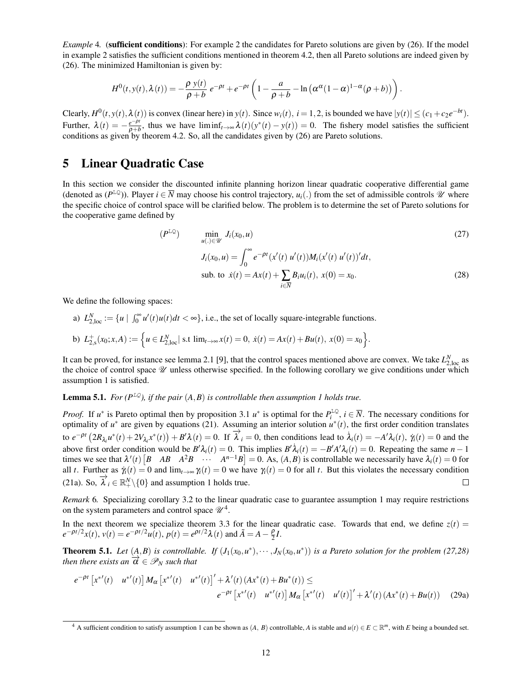*Example* 4. (sufficient conditions): For example 2 the candidates for Pareto solutions are given by (26). If the model in example 2 satisfies the sufficient conditions mentioned in theorem 4.2, then all Pareto solutions are indeed given by (26). The minimized Hamiltonian is given by:

$$
H^{0}(t, y(t), \lambda(t)) = -\frac{\rho y(t)}{\rho + b} e^{-\rho t} + e^{-\rho t} \left(1 - \frac{a}{\rho + b} - \ln\left(\alpha^{\alpha}(1-\alpha)^{1-\alpha}(\rho + b)\right)\right).
$$

Clearly,  $H^0(t, y(t), \lambda(t))$  is convex (linear here) in  $y(t)$ . Since  $w_i(t)$ ,  $i = 1, 2$ , is bounded we have  $|y(t)| \le (c_1 + c_2 e^{-bt})$ . Further,  $\lambda(t) = -\frac{e^{-\rho t}}{\rho + t}$  $\frac{e^{-\mu}}{\rho+b}$ , thus we have  $\liminf_{t\to\infty} \lambda(t)(y^*(t)-y(t))=0$ . The fishery model satisfies the sufficient conditions as given by theorem 4.2. So, all the candidates given by (26) are Pareto solutions.

## 5 Linear Quadratic Case

In this section we consider the discounted infinite planning horizon linear quadratic cooperative differential game (denoted as  $(P^{\text{LO}})$ ). Player  $i \in \overline{N}$  may choose his control trajectory,  $u_i(.)$  from the set of admissible controls  $\mathcal U$  where the specific choice of control space will be clarified below. The problem is to determine the set of Pareto solutions for the cooperative game defined by

$$
(P^{LQ}) \qquad \min_{u(.) \in \mathcal{U}} J_i(x_0, u) \tag{27}
$$
\n
$$
J_i(x_0, u) = \int_0^\infty e^{-\rho t} (x'(t) u'(t)) M_i(x'(t) u'(t))' dt,
$$
\n
$$
\text{sub. to } \dot{x}(t) = Ax(t) + \sum_{i \in \overline{N}} B_i u_i(t), \ x(0) = x_0. \tag{28}
$$

We define the following spaces:

a)  $L_{2,\text{loc}}^N := \{u \mid \int_0^\infty u'(t)u(t)dt < \infty\}$ , i.e., the set of locally square-integrable functions.

b) 
$$
L_{2,s}^+(x_0; x, A) := \left\{ u \in L_{2,loc}^N \mid s.t \lim_{t \to \infty} x(t) = 0, \ \dot{x}(t) = Ax(t) + Bu(t), \ x(0) = x_0 \right\}.
$$

It can be proved, for instance see lemma 2.1 [9], that the control spaces mentioned above are convex. We take  $L_{2,\text{loc}}^N$  as the choice of control space  $\mathcal U$  unless otherwise specified. In the following corollary we give conditions under which assumption 1 is satisfied.

### **Lemma 5.1.** *For (* $P^{LQ}$ *), if the pair*  $(A, B)$  *is controllable then assumption 1 holds true.*

*Proof.* If  $u^*$  is Pareto optimal then by proposition 3.1  $u^*$  is optimal for the  $P_i^{\text{LO}}$ ,  $i \in \overline{N}$ . The necessary conditions for optimality of  $u^*$  are given by equations (21). Assuming an interior solution  $u^*(t)$ , the first order condition translates to  $e^{-\rho t}(2R_{\lambda_i}u^*(t)+2V_{\lambda_i}x^*(t))+B'\lambda(t)=0$ . If  $\overrightarrow{\lambda}_i=0$ , then conditions lead to  $\lambda_i(t)=-A'\lambda_i(t)$ ,  $\dot{\gamma}_i(t)=0$  and the above first order condition would be  $B' \lambda_i(t) = 0$ . This implies  $B' \lambda_i(t) = -B' A' \lambda_i(t) = 0$ . Repeating the same  $n-1$ times we see that  $\lambda'(t)$   $\begin{bmatrix} B & AB & A^2B & \cdots & A^{n-1}B \end{bmatrix} = 0$ . As,  $(A, B)$  is controllable we necessarily have  $\lambda_i(t) = 0$  for all *t*. Further as  $\dot{\gamma}_i(t) = 0$  and  $\lim_{t\to\infty} \gamma_i(t) = 0$  we have  $\gamma_i(t) = 0$  for all *t*. But this violates the necessary condition (21a). So,  $\overrightarrow{\lambda}_i \in \mathbb{R}^N_+\setminus\{0\}$  and assumption 1 holds true.  $\Box$ 

*Remark* 6*.* Specializing corollary 3.2 to the linear quadratic case to guarantee assumption 1 may require restrictions on the system parameters and control space  $\mathcal{U}^4$ .

In the next theorem we specialize theorem 3.3 for the linear quadratic case. Towards that end, we define  $z(t)$  =  $e^{-\rho t/2}x(t), v(t) = e^{-\rho t/2}u(t), p(t) = e^{\rho t/2}\lambda(t)$  and  $\tilde{A} = A - \frac{\rho}{2}I$ .

**Theorem 5.1.** Let  $(A, B)$  is controllable. If  $(J_1(x_0, u^*), \dots, J_N(x_0, u^*))$  is a Pareto solution for the problem (27,28) *then there exists an*  $\vec{a} \in \mathcal{P}_N$  *such that* 

$$
e^{-\rho t} \left[ x^{*'}(t) \quad u^{*'}(t) \right] M_{\alpha} \left[ x^{*'}(t) \quad u^{*'}(t) \right]' + \lambda'(t) \left( Ax^{*}(t) + Bu^{*}(t) \right) \le
$$
  

$$
e^{-\rho t} \left[ x^{*'}(t) \quad u^{*'}(t) \right] M_{\alpha} \left[ x^{*'}(t) \quad u'(t) \right]' + \lambda'(t) \left( Ax^{*}(t) + Bu(t) \right) \quad (29a)
$$

<sup>&</sup>lt;sup>4</sup> A sufficient condition to satisfy assumption 1 can be shown as  $(A, B)$  controllable, *A* is stable and  $u(t) \in E \subset \mathbb{R}^m$ , with *E* being a bounded set.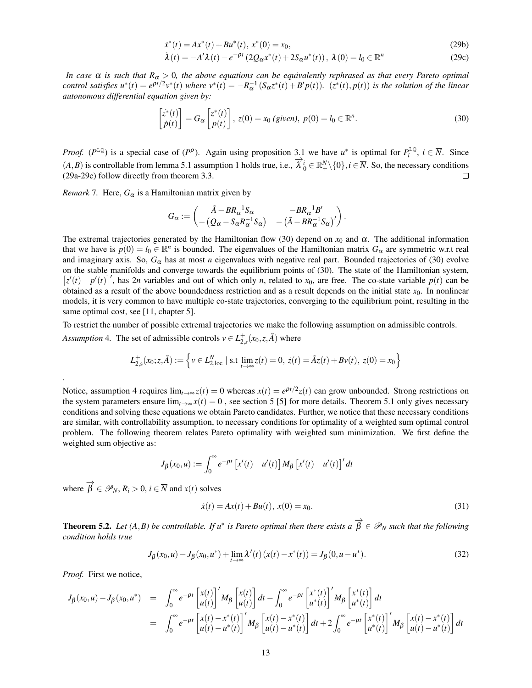$$
\dot{x}^*(t) = Ax^*(t) + Bu^*(t), \ x^*(0) = x_0,\tag{29b}
$$

$$
\dot{\lambda}(t) = -A'\lambda(t) - e^{-\rho t} (2Q_{\alpha}x^*(t) + 2S_{\alpha}u^*(t)), \ \lambda(0) = l_0 \in \mathbb{R}^n
$$
 (29c)

*In case* α *is such that R*<sup>α</sup> > 0*, the above equations can be equivalently rephrased as that every Pareto optimal* control satisfies  $u^*(t) = e^{\rho t/2}v^*(t)$  where  $v^*(t) = -R_{\alpha}^{-1}(S_{\alpha}z^*(t) + B'p(t))$ .  $(z^*(t), p(t))$  is the solution of the linear *autonomous differential equation given by:*

$$
\begin{bmatrix} \dot{z}^*(t) \\ \dot{p}(t) \end{bmatrix} = G_{\alpha} \begin{bmatrix} z^*(t) \\ p(t) \end{bmatrix}, \ z(0) = x_0 \ (given), \ p(0) = l_0 \in \mathbb{R}^n. \tag{30}
$$

*Proof.* ( $P^{\text{LQ}}$ ) is a special case of ( $P^{\rho}$ ). Again using proposition 3.1 we have  $u^*$  is optimal for  $P_i^{\text{LQ}}$ ,  $i \in \overline{N}$ . Since  $(A, B)$  is controllable from lemma 5.1 assumption 1 holds true, i.e.,  $\overrightarrow{\lambda}^i_0 \in \mathbb{R}^N_+\setminus\{0\}$ ,  $i \in \overline{N}$ . So, the necessary conditions (29a-29c) follow directly from theorem 3.3.

*Remark* 7. Here,  $G_{\alpha}$  is a Hamiltonian matrix given by

$$
G_{\alpha} := \begin{pmatrix} \tilde{A} - BR_{\alpha}^{-1} S_{\alpha} & -BR_{\alpha}^{-1}B' \\ -\left(Q_{\alpha} - S_{\alpha}R_{\alpha}^{-1} S_{\alpha}\right) & -\left(\tilde{A} - BR_{\alpha}^{-1} S_{\alpha}\right)' \end{pmatrix}.
$$

The extremal trajectories generated by the Hamiltonian flow (30) depend on  $x_0$  and  $\alpha$ . The additional information that we have is  $p(0) = l_0 \in \mathbb{R}^n$  is bounded. The eigenvalues of the Hamiltonian matrix  $G_\alpha$  are symmetric w.r.t real and imaginary axis. So, *G*<sup>α</sup> has at most *n* eigenvalues with negative real part. Bounded trajectories of (30) evolve on the stable manifolds and converge towards the equilibrium points of (30). The state of the Hamiltonian system,  $[z'(t) \quad p'(t)]'$ , has 2*n* variables and out of which only *n*, related to *x*<sub>0</sub>, are free. The co-state variable  $p(t)$  can be obtained as a result of the above boundedness restriction and as a result depends on the initial state  $x_0$ . In nonlinear models, it is very common to have multiple co-state trajectories, converging to the equilibrium point, resulting in the same optimal cost, see [11, chapter 5].

To restrict the number of possible extremal trajectories we make the following assumption on admissible controls. *Assumption* 4. The set of admissible controls  $v \in L_{2,s}^+(x_0, z, \tilde{A})$  where

$$
L_{2,s}^+(x_0; z, \tilde{A}) := \left\{ v \in L_{2,\text{loc}}^N \mid s.t. \lim_{t \to \infty} z(t) = 0, \ \dot{z}(t) = \tilde{A}z(t) + Bv(t), \ z(0) = x_0 \right\}
$$

Notice, assumption 4 requires  $\lim_{t\to\infty} z(t) = 0$  whereas  $x(t) = e^{\rho t/2} z(t)$  can grow unbounded. Strong restrictions on the system parameters ensure  $\lim_{t\to\infty} x(t) = 0$ , see section 5 [5] for more details. Theorem 5.1 only gives necessary conditions and solving these equations we obtain Pareto candidates. Further, we notice that these necessary conditions are similar, with controllability assumption, to necessary conditions for optimality of a weighted sum optimal control problem. The following theorem relates Pareto optimality with weighted sum minimization. We first define the weighted sum objective as:

$$
J_{\beta}(x_0, u) := \int_0^{\infty} e^{-\rho t} \left[ x'(t) \quad u'(t) \right] M_{\beta} \left[ x'(t) \quad u'(t) \right]' dt
$$

where  $\overrightarrow{\beta} \in \mathcal{P}_N$ ,  $R_i > 0$ ,  $i \in \overline{N}$  and  $x(t)$  solves

$$
\dot{x}(t) = Ax(t) + Bu(t), \ x(0) = x_0.
$$
\n(31)

**Theorem 5.2.** Let  $(A,B)$  be controllable. If  $u^*$  is Pareto optimal then there exists a  $\vec{\beta} \in \mathcal{P}_N$  such that the following *condition holds true*

$$
J_{\beta}(x_0, u) - J_{\beta}(x_0, u^*) + \lim_{t \to \infty} \lambda'(t) (x(t) - x^*(t)) = J_{\beta}(0, u - u^*).
$$
 (32)

*Proof.* First we notice,

.

$$
J_{\beta}(x_0, u) - J_{\beta}(x_0, u^*) = \int_0^{\infty} e^{-\rho t} \begin{bmatrix} x(t) \\ u(t) \end{bmatrix}^{\prime} M_{\beta} \begin{bmatrix} x(t) \\ u(t) \end{bmatrix} dt - \int_0^{\infty} e^{-\rho t} \begin{bmatrix} x^*(t) \\ u^*(t) \end{bmatrix}^{\prime} M_{\beta} \begin{bmatrix} x^*(t) \\ u^*(t) \end{bmatrix} dt
$$
  
= 
$$
\int_0^{\infty} e^{-\rho t} \begin{bmatrix} x(t) - x^*(t) \\ u(t) - u^*(t) \end{bmatrix}^{\prime} M_{\beta} \begin{bmatrix} x(t) - x^*(t) \\ u(t) - u^*(t) \end{bmatrix} dt + 2 \int_0^{\infty} e^{-\rho t} \begin{bmatrix} x^*(t) \\ u^*(t) \end{bmatrix}^{\prime} M_{\beta} \begin{bmatrix} x(t) - x^*(t) \\ u(t) - u^*(t) \end{bmatrix} dt
$$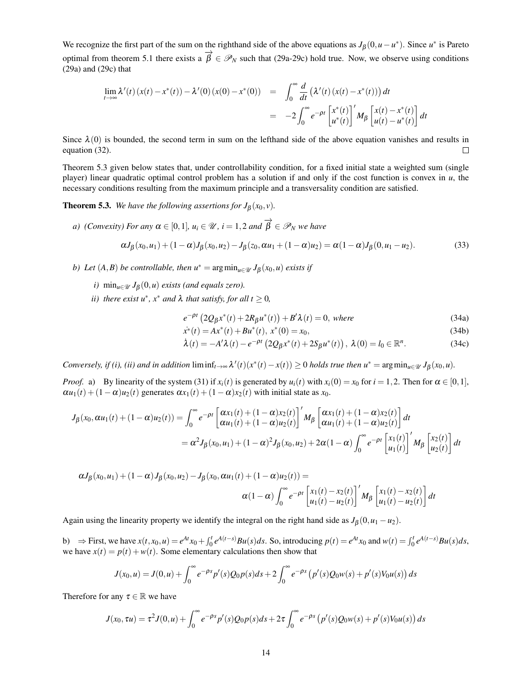We recognize the first part of the sum on the righthand side of the above equations as  $J_\beta(0, u - u^*)$ . Since  $u^*$  is Pareto optimal from theorem 5.1 there exists a  $\vec{\beta} \in \mathcal{P}_N$  such that (29a-29c) hold true. Now, we observe using conditions (29a) and (29c) that

$$
\lim_{t \to \infty} \lambda'(t) \left(x(t) - x^*(t)\right) - \lambda'(0) \left(x(0) - x^*(0)\right) = \int_0^\infty \frac{d}{dt} \left(\lambda'(t) \left(x(t) - x^*(t)\right)\right) dt
$$

$$
= -2 \int_0^\infty e^{-\rho t} \begin{bmatrix} x^*(t) \\ u^*(t) \end{bmatrix}' M_\beta \begin{bmatrix} x(t) - x^*(t) \\ u(t) - u^*(t) \end{bmatrix} dt
$$

Since  $\lambda(0)$  is bounded, the second term in sum on the lefthand side of the above equation vanishes and results in equation (32).  $\Box$ 

Theorem 5.3 given below states that, under controllability condition, for a fixed initial state a weighted sum (single player) linear quadratic optimal control problem has a solution if and only if the cost function is convex in *u*, the necessary conditions resulting from the maximum principle and a transversality condition are satisfied.

**Theorem 5.3.** We have the following assertions for  $J_\beta(x_0, v)$ .

- *a)* (Convexity) For any  $\alpha \in [0,1]$ ,  $u_i \in \mathcal{U}$ ,  $i = 1,2$  and  $\overrightarrow{\beta} \in \mathcal{P}_N$  we have  $\alpha J_{\beta}(x_0, u_1) + (1 - \alpha)J_{\beta}(x_0, u_2) - J_{\beta}(z_0, \alpha u_1 + (1 - \alpha)u_2) = \alpha(1 - \alpha)J_{\beta}(0, u_1 - u_2).$  (33)
- *b)* Let  $(A, B)$  be controllable, then  $u^* = \arg \min_{u \in \mathcal{U}} J_\beta(x_0, u)$  exists if
	- *i*)  $\min_{u \in \mathcal{U}} J_{\beta}(0, u)$  *exists (and equals zero).*
	- *ii*) there exist  $u^*$ ,  $x^*$  and  $\lambda$  that satisfy, for all  $t \geq 0$ ,

$$
e^{-\rho t} \left( 2Q_{\beta} x^*(t) + 2R_{\beta} u^*(t) \right) + B' \lambda(t) = 0, \text{ where}
$$
\n(34a)

$$
\dot{x}^*(t) = Ax^*(t) + Bu^*(t), \ x^*(0) = x_0,\tag{34b}
$$

$$
\dot{\lambda}(t) = -A'\lambda(t) - e^{-\rho t} \left(2Q_{\beta}x^*(t) + 2S_{\beta}u^*(t)\right), \lambda(0) = l_0 \in \mathbb{R}^n.
$$
\n(34c)

*Conversely, if (i), (ii) and in addition*  $\liminf_{t\to\infty} \lambda'(t)(x^*(t) - x(t)) \ge 0$  *holds true then*  $u^* = \arg\min_{u\in\mathcal{U}} J_\beta(x_0, u)$ *.* 

*Proof.* a) By linearity of the system (31) if  $x_i(t)$  is generated by  $u_i(t)$  with  $x_i(0) = x_0$  for  $i = 1, 2$ . Then for  $\alpha \in [0, 1]$ ,  $\alpha u_1(t) + (1-\alpha)u_2(t)$  generates  $\alpha x_1(t) + (1-\alpha)x_2(t)$  with initial state as  $x_0$ .

$$
J_{\beta}(x_0, \alpha u_1(t) + (1 - \alpha)u_2(t)) = \int_0^{\infty} e^{-\rho t} \left[ \frac{\alpha x_1(t) + (1 - \alpha)x_2(t)}{\alpha u_1(t) + (1 - \alpha)u_2(t)} \right]' M_{\beta} \left[ \frac{\alpha x_1(t) + (1 - \alpha)x_2(t)}{\alpha u_1(t) + (1 - \alpha)u_2(t)} \right] dt
$$
  
=  $\alpha^2 J_{\beta}(x_0, u_1) + (1 - \alpha)^2 J_{\beta}(x_0, u_2) + 2\alpha (1 - \alpha) \int_0^{\infty} e^{-\rho t} \left[ \frac{x_1(t)}{u_1(t)} \right]' M_{\beta} \left[ \frac{x_2(t)}{u_2(t)} \right] dt$ 

$$
\alpha J_{\beta}(x_0, u_1) + (1 - \alpha) J_{\beta}(x_0, u_2) - J_{\beta}(x_0, \alpha u_1(t) + (1 - \alpha)u_2(t)) =
$$
  

$$
\alpha (1 - \alpha) \int_0^{\infty} e^{-\rho t} \begin{bmatrix} x_1(t) - x_2(t) \\ u_1(t) - u_2(t) \end{bmatrix}^t M_{\beta} \begin{bmatrix} x_1(t) - x_2(t) \\ u_1(t) - u_2(t) \end{bmatrix} dt
$$

Again using the linearity property we identify the integral on the right hand side as  $J_{\beta}(0, u_1 - u_2)$ .

b)  $\Rightarrow$  First, we have  $x(t, x_0, u) = e^{At}x_0 + \int_0^t e^{A(t-s)}Bu(s)ds$ . So, introducing  $p(t) = e^{At}x_0$  and  $w(t) = \int_0^t e^{A(t-s)}Bu(s)ds$ , we have  $x(t) = p(t) + w(t)$ . Some elementary calculations then show that

$$
J(x_0, u) = J(0, u) + \int_0^{\infty} e^{-\rho s} p'(s) Q_0 p(s) ds + 2 \int_0^{\infty} e^{-\rho s} (p'(s) Q_0 w(s) + p'(s) V_0 u(s)) ds
$$

Therefore for any  $\tau \in \mathbb{R}$  we have

$$
J(x_0, \tau u) = \tau^2 J(0, u) + \int_0^{\infty} e^{-\rho s} p'(s) Q_0 p(s) ds + 2\tau \int_0^{\infty} e^{-\rho s} (p'(s) Q_0 w(s) + p'(s) V_0 u(s)) ds
$$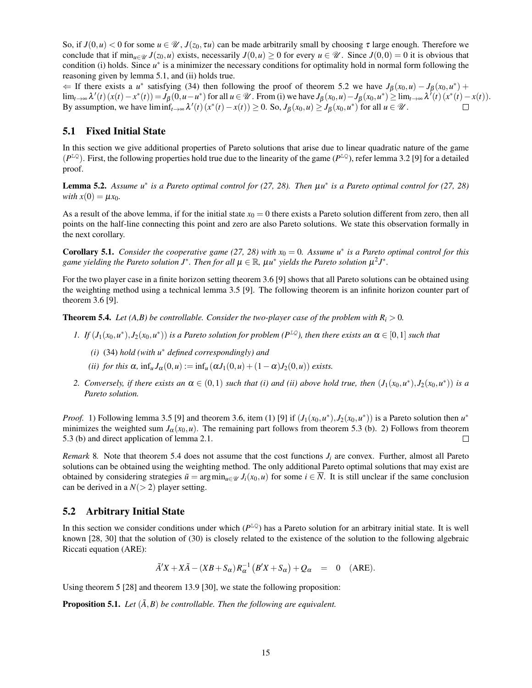So, if  $J(0, u) < 0$  for some  $u \in \mathcal{U}$ ,  $J(z_0, \tau u)$  can be made arbitrarily small by choosing  $\tau$  large enough. Therefore we conclude that if  $\min_{u \in \mathcal{U}} J(z_0, u)$  exists, necessarily  $J(0, u) \ge 0$  for every  $u \in \mathcal{U}$ . Since  $J(0, 0) = 0$  it is obvious that condition (i) holds. Since *u* ∗ is a minimizer the necessary conditions for optimality hold in normal form following the reasoning given by lemma 5.1, and (ii) holds true.

 $\leftarrow$  If there exists a *u*<sup>\*</sup> satisfying (34) then following the proof of theorem 5.2 we have *J*<sub>β</sub>(*x*<sub>0</sub>,*u*) − *J*<sub>β</sub>(*x*<sub>0</sub>,*u*<sup>\*</sup>) +  $\lim_{t\to\infty}\lambda'(t)(x(t)-x^*(t))=J_{\beta}(0,u-u^*)$  for all  $u\in\mathcal{U}$ . From (i) we have  $J_{\beta}(x_0,u)-J_{\beta}(x_0,u^*)\geq \lim_{t\to\infty}\lambda'(t)(x^*(t)-x(t)).$ By assumption, we have  $\liminf_{t\to\infty} \frac{\lambda'(t)}{x^*(t) - x(t)} \ge 0$ . So,  $J_\beta(x_0, u) \ge J_\beta(x_0, u^*)$  for all  $u \in \mathcal{U}$ .

### 5.1 Fixed Initial State

In this section we give additional properties of Pareto solutions that arise due to linear quadratic nature of the game  $(P^{LQ})$ . First, the following properties hold true due to the linearity of the game  $(P^{LQ})$ , refer lemma 3.2 [9] for a detailed proof.

Lemma 5.2. *Assume u*∗ *is a Pareto optimal control for (27, 28). Then* µ*u* ∗ *is a Pareto optimal control for (27, 28) with*  $x(0) = \mu x_0$ .

As a result of the above lemma, if for the initial state  $x_0 = 0$  there exists a Pareto solution different from zero, then all points on the half-line connecting this point and zero are also Pareto solutions. We state this observation formally in the next corollary.

**Corollary 5.1.** Consider the cooperative game (27, 28) with  $x_0 = 0$ . Assume  $u^*$  is a Pareto optimal control for this game yielding the Pareto solution  $J^*$ . Then for all  $\mu \in \mathbb{R}$ ,  $\mu u^*$  yields the Pareto solution  $\mu^2 J^*$ .

For the two player case in a finite horizon setting theorem 3.6 [9] shows that all Pareto solutions can be obtained using the weighting method using a technical lemma 3.5 [9]. The following theorem is an infinite horizon counter part of theorem 3.6 [9].

**Theorem 5.4.** Let  $(A,B)$  be controllable. Consider the two-player case of the problem with  $R_i > 0$ .

- *1.* If  $(J_1(x_0, u^*), J_2(x_0, u^*))$  is a Pareto solution for problem  $(P^{LQ})$ , then there exists an  $\alpha \in [0,1]$  such that
	- *(i)* (34) *hold (with u*∗ *defined correspondingly) and*
	- (*ii*) for this  $\alpha$ ,  $\inf_u J_\alpha(0, u) := \inf_u (\alpha J_1(0, u) + (1 \alpha)J_2(0, u))$  exists.
- 2. Conversely, if there exists an  $\alpha \in (0,1)$  such that (i) and (ii) above hold true, then  $(J_1(x_0,u^*), J_2(x_0,u^*))$  is a *Pareto solution.*

*Proof.* 1) Following lemma 3.5 [9] and theorem 3.6, item (1) [9] if  $(J_1(x_0,u^*), J_2(x_0,u^*))$  is a Pareto solution then  $u^*$ minimizes the weighted sum  $J_\alpha(x_0, u)$ . The remaining part follows from theorem 5.3 (b). 2) Follows from theorem 5.3 (b) and direct application of lemma 2.1.  $\Box$ 

*Remark* 8*.* Note that theorem 5.4 does not assume that the cost functions *J<sup>i</sup>* are convex. Further, almost all Pareto solutions can be obtained using the weighting method. The only additional Pareto optimal solutions that may exist are obtained by considering strategies  $\tilde{u} = \arg\min_{u \in \mathcal{U}} J_i(x_0, u)$  for some  $i \in \overline{N}$ . It is still unclear if the same conclusion can be derived in a  $N(> 2)$  player setting.

### 5.2 Arbitrary Initial State

In this section we consider conditions under which  $(P^{LQ})$  has a Pareto solution for an arbitrary initial state. It is well known [28, 30] that the solution of (30) is closely related to the existence of the solution to the following algebraic Riccati equation (ARE):

$$
\tilde{A}'X + X\tilde{A} - (XB + S_{\alpha})R_{\alpha}^{-1} (B'X + S_{\alpha}) + Q_{\alpha} = 0
$$
 (ARE).

Using theorem 5 [28] and theorem 13.9 [30], we state the following proposition:

**Proposition 5.1.** *Let*  $(\tilde{A}, B)$  *be controllable. Then the following are equivalent.*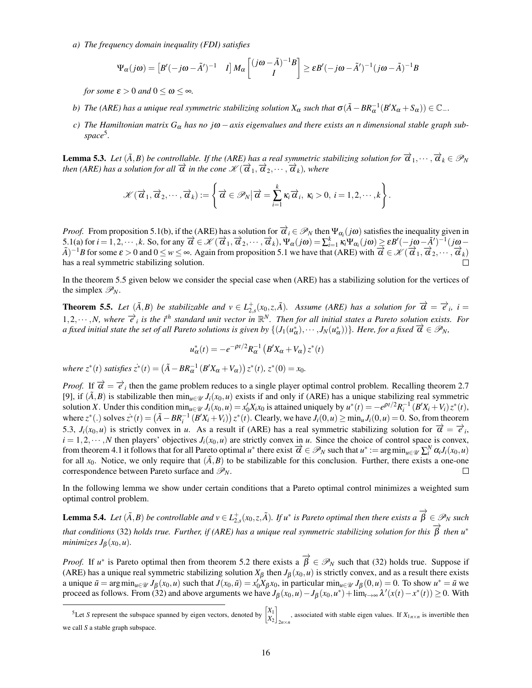*a) The frequency domain inequality (FDI) satisfies*

$$
\Psi_{\alpha}(j\omega) = \begin{bmatrix} B'(-j\omega - \tilde{A}')^{-1} & I \end{bmatrix} M_{\alpha} \begin{bmatrix} (j\omega - \tilde{A})^{-1}B \\ I \end{bmatrix} \ge \varepsilon B'(-j\omega - \tilde{A}')^{-1}(j\omega - \tilde{A})^{-1}B
$$

*for some*  $\varepsilon > 0$  *and*  $0 \le \omega \le \infty$ *.* 

- *b*) The (ARE) has a unique real symmetric stabilizing solution  $X_\alpha$  such that  $\sigma(\tilde{A} BR_\alpha^{-1}(B'X_\alpha + S_\alpha)) \in \mathbb{C}_-$ .
- *c) The Hamiltonian matrix G*<sup>α</sup> *has no j*ω −*axis eigenvalues and there exists an n dimensional stable graph subspace*<sup>5</sup> *.*

**Lemma 5.3.** Let  $(\tilde{A}, B)$  be controllable. If the (ARE) has a real symmetric stabilizing solution for  $\overrightarrow{\alpha}_1, \dots, \overrightarrow{\alpha}_k \in \mathcal{P}_N$ *then (ARE) has a solution for all*  $\vec{\alpha}$  *in the cone*  $\mathscr{K}(\vec{\alpha}_1, \vec{\alpha}_2, \cdots, \vec{\alpha}_k)$ *, where* 

$$
\mathscr{K}(\overrightarrow{\alpha}_1,\overrightarrow{\alpha}_2,\cdots,\overrightarrow{\alpha}_k):=\left\{\overrightarrow{\alpha}\in\mathscr{P}_N|\overrightarrow{\alpha}=\sum_{i=1}^k\kappa_i\overrightarrow{\alpha}_i,\ \kappa_i>0,\ i=1,2,\cdots,k\right\}.
$$

*Proof.* From proposition 5.1(b), if the (ARE) has a solution for  $\vec{\alpha}_i \in \mathcal{P}_N$  then  $\Psi_{\alpha_i}(j\omega)$  satisfies the inequality given in 5.1(a) for  $i = 1, 2, \dots, k$ . So, for any  $\overrightarrow{\alpha} \in \mathcal{K}(\overrightarrow{\alpha}_1, \overrightarrow{\alpha}_2, \dots, \overrightarrow{\alpha}_k), \Psi_\alpha(j\omega) = \sum_{i=1}^k \kappa_i \Psi_{\alpha_i}(j\omega) \ge \varepsilon B'(-j\omega - \tilde{A}')^{-1}(j\omega - \tilde{A}')^{-1}$  $\tilde{A}$ )<sup>-1</sup>*B* for some  $\varepsilon > 0$  and  $0 \le w \le \infty$ . Again from proposition 5.1 we have that (ARE) with  $\overrightarrow{\alpha} \in \mathcal{K}(\overrightarrow{\alpha}_1, \overrightarrow{\alpha}_2, \cdots, \overrightarrow{\alpha}_k)$ has a real symmetric stabilizing solution. П

In the theorem 5.5 given below we consider the special case when (ARE) has a stabilizing solution for the vertices of the simplex  $\mathscr{P}_N$ .

**Theorem 5.5.** Let  $(\tilde{A}, B)$  be stabilizable and  $v \in L_{2,s}^+(x_0, z, \tilde{A})$ . Assume (ARE) has a solution for  $\overrightarrow{\alpha} = \overrightarrow{e}_i$ ,  $i =$  $1,2,\dots,N$ , where  $\overrightarrow{e}_i$  is the i<sup>th</sup> standard unit vector in  $\mathbb{R}^N$ . Then for all initial states a Pareto solution exists. For a fixed initial state the set of all Pareto solutions is given by  $\{(J_1(u_\alpha^*),\cdots,J_N(u_\alpha^*))\}$ . Here, for a fixed  $\overrightarrow{\alpha}\in\mathscr{P}_N$ ,

$$
u_{\alpha}^{*}(t) = -e^{-\rho t/2} R_{\alpha}^{-1} \left( B'X_{\alpha} + V_{\alpha} \right) z^{*}(t)
$$

*where*  $z^*(t)$  *satisfies*  $\dot{z}^*(t) = (\tilde{A} - BR_{\alpha}^{-1}(B'X_{\alpha} + V_{\alpha})) z^*(t)$ ,  $z^*(0) = x_0$ .

*Proof.* If  $\vec{\alpha} = \vec{e}_i$  then the game problem reduces to a single player optimal control problem. Recalling theorem 2.7 [9], if  $(\tilde{A}, B)$  is stabilizable then  $\min_{u \in \mathcal{U}} J_i(x_0, u)$  exists if and only if (ARE) has a unique stabilizing real symmetric solution X. Under this condition  $\min_{u \in \mathcal{U}} J_i(x_0, u) = x'_0 X_i x_0$  is attained uniquely by  $u^*(t) = -e^{\rho t/2} R_i^{-1} (B' X_i + V_i) z^*(t)$ , where  $z^*(.)$  solves  $\dot{z}^*(t) = (\tilde{A} - BR_i^{-1}(B'X_i + V_i)) z^*(t)$ . Clearly, we have  $J_i(0, u) \ge \min_u J_i(0, u) = 0$ . So, from theorem 5.3,  $J_i(x_0, u)$  is strictly convex in *u*. As a result if (ARE) has a real symmetric stabilizing solution for  $\vec{\alpha} = \vec{e}_i$ ,  $i = 1, 2, \dots, N$  then players' objectives  $J_i(x_0, u)$  are strictly convex in *u*. Since the choice of control space is convex, from theorem 4.1 it follows that for all Pareto optimal  $u^*$  there exist  $\vec{\alpha} \in \mathcal{P}_N$  such that  $u^* := \arg \min_{u \in \mathcal{U}} \sum_i^N \alpha_i J_i(x_0, u)$ for all  $x_0$ . Notice, we only require that  $(A, B)$  to be stabilizable for this conclusion. Further, there exists a one-one correspondence between Pareto surface and  $\mathscr{P}_N$ . П

In the following lemma we show under certain conditions that a Pareto optimal control minimizes a weighted sum optimal control problem.

**Lemma 5.4.** Let  $(\tilde{A}, B)$  be controllable and  $v \in L_{2,s}^+(x_0, z, \tilde{A})$ . If  $u^*$  is Pareto optimal then there exists a  $\overrightarrow{\beta} \in \mathscr{P}_N$  such *that conditions* (32) *holds true. Further, if (ARE) has a unique real symmetric stabilizing solution for this*  $\overrightarrow{\beta}$  *then u<sup>\*</sup> minimizes J*<sup>β</sup> (*x*0,*u*)*.*

*Proof.* If  $u^*$  is Pareto optimal then from theorem 5.2 there exists a  $\vec{\beta} \in \mathcal{P}_N$  such that (32) holds true. Suppose if (ARE) has a unique real symmetric stabilizing solution  $X_\beta$  then  $J_\beta(x_0, u)$  is strictly convex, and as a result there exists a unique  $\tilde{u} = \arg \min_{u \in \mathcal{U}} J_{\beta}(x_0, u)$  such that  $J(x_0, \tilde{u}) = x'_0 X_{\beta} x_0$ , in particular  $\min_{u \in \mathcal{U}} J_{\beta}(0, u) = 0$ . To show  $u^* = \tilde{u}$  we proceed as follows. From (32) and above arguments we have  $J_\beta(x_0, u) - J_\beta(x_0, u^*) + \lim_{t \to \infty} \lambda'(x(t) - x^*(t)) \ge 0$ . With

<sup>&</sup>lt;sup>5</sup>Let *S* represent the subspace spanned by eigen vectors, denoted by  $\begin{bmatrix} X_1 \\ Y \end{bmatrix}$ *X*2 1 , associated with stable eigen values. If  $X_{1n \times n}$  is invertible then  $2n \times n$ we call *S* a stable graph subspace.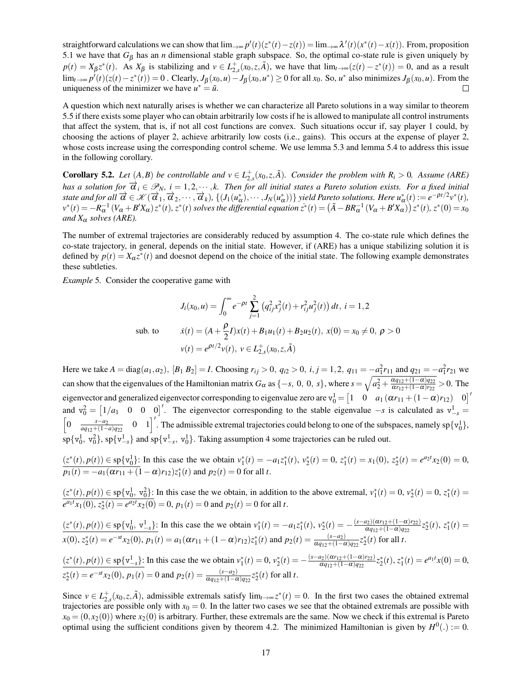straightforward calculations we can show that  $\lim_{x\to\infty} p'(t)(z^*(t)-z(t)) = \lim_{x\to\infty} \lambda'(t)(x^*(t)-x(t))$ . From, proposition 5.1 we have that  $G_\beta$  has an *n* dimensional stable graph subspace. So, the optimal co-state rule is given uniquely by  $p(t) = X_{\beta} z^*(t)$ . As  $X_{\beta}$  is stabilizing and  $v \in L_{2,s}^+(x_0, z, \tilde{A})$ , we have that  $\lim_{t \to \infty} (z(t) - z^*(t)) = 0$ , and as a result  $\lim_{t\to\infty}p'(t)(z(t)-z^*(t))=0$ . Clearly,  $J_\beta(x_0,u)-J_\beta(x_0,u^*)\geq 0$  for all  $x_0$ . So,  $u^*$  also minimizes  $J_\beta(x_0,u)$ . From the uniqueness of the minimizer we have  $u^* = \tilde{u}$ .  $\Box$ 

A question which next naturally arises is whether we can characterize all Pareto solutions in a way similar to theorem 5.5 if there exists some player who can obtain arbitrarily low costs if he is allowed to manipulate all control instruments that affect the system, that is, if not all cost functions are convex. Such situations occur if, say player 1 could, by choosing the actions of player 2, achieve arbitrarily low costs (i.e., gains). This occurs at the expense of player 2, whose costs increase using the corresponding control scheme. We use lemma 5.3 and lemma 5.4 to address this issue in the following corollary.

**Corollary 5.2.** Let  $(A, B)$  be controllable and  $v \in L_{2,s}^+(x_0, z, \tilde{A})$ *. Consider the problem with*  $R_i > 0$ *. Assume (ARE) has a solution for*  $\vec{a}_i \in \mathcal{P}_N$ ,  $i = 1, 2, \dots, k$ . Then for all initial states a Pareto solution exists. For a fixed initial state and for all  $\overrightarrow{\alpha} \in \mathscr{K}(\overrightarrow{\alpha}_1, \overrightarrow{\alpha}_2, \cdots, \overrightarrow{\alpha}_k)$ ,  $\{(J_1(u^*_{\alpha}), \cdots, J_N(u^*_{\alpha}))\}$  yield Pareto solutions. Here  $u^*_{\alpha}(t) := e^{-\rho t/2}v^*(t)$ ,  $v^*(t) = -R_{\alpha}^{-1}(V_{\alpha} + B'X_{\alpha})z^*(t)$ ,  $z^*(t)$  solves the differential equation  $z^*(t) = (\tilde{A} - BR_{\alpha}^{-1}(V_{\alpha} + B'X_{\alpha}))z^*(t)$ ,  $z^*(0) = x_0$ *and*  $X_\alpha$  *solves* (ARE).

The number of extremal trajectories are considerably reduced by assumption 4. The co-state rule which defines the co-state trajectory, in general, depends on the initial state. However, if (ARE) has a unique stabilizing solution it is defined by  $p(t) = X_\alpha z^*(t)$  and doesnot depend on the choice of the initial state. The following example demonstrates these subtleties.

*Example* 5*.* Consider the cooperative game with

$$
J_i(x_0, u) = \int_0^\infty e^{-\rho t} \sum_{j=1}^2 (q_{ij}^2 x_j^2(t) + r_{ij}^2 u_j^2(t)) dt, i = 1, 2
$$
  
sub. to 
$$
\dot{x}(t) = (A + \frac{\rho}{2}I)x(t) + B_1 u_1(t) + B_2 u_2(t), x(0) = x_0 \neq 0, \ \rho > 0
$$

$$
v(t) = e^{\rho t/2} v(t), \ v \in L_{2,s}^+(x_0, z, \tilde{A})
$$

Here we take  $A = diag(a_1, a_2)$ ,  $[B_1 B_2] = I$ . Choosing  $r_{ij} > 0$ ,  $q_{i2} > 0$ ,  $i, j = 1, 2$ ,  $q_{11} = -\frac{a_1^2 r_{11}}{2}$  and  $q_{21} = -\frac{a_1^2 r_{21}}{2}$  we can show that the eigenvalues of the Hamiltonian matrix  $G_{\alpha}$  as  $\{-s, 0, 0, s\}$ , where  $s = \sqrt{a_2^2 + \frac{\alpha q_{12} + (1-\alpha)q_{22}}{\alpha r_{12} + (1-\alpha)r_{22}}}$  $\frac{\alpha q_{12} + (1 - \alpha) q_{22}}{\alpha r_{12} + (1 - \alpha) r_{22}} > 0$ . The eigenvector and generalized eigenvector corresponding to eigenvalue zero are  $v_0^1 = \begin{bmatrix} 1 & 0 & a_1(\alpha r_{11} + (1-\alpha)r_{12}) & 0 \end{bmatrix}'$ and  $v_0^2 = \begin{bmatrix} 1/a_1 & 0 & 0 & 0 \end{bmatrix}'$ . The eigenvector corresponding to the stable eigenvalue –*s* is calculated as  $v_{-s}^1$  =  $\left[0 \frac{s-a_2}{a a_2 + 1} \right]$  $\frac{s-a_2}{aq_{12}+(1-a)q_{22}}$  0 1<sup>j</sup>. The admissible extremal trajectories could belong to one of the subspaces, namely sp{v<sub>0</sub>},  $\sin\{\theta_1, \theta_0\}$ ,  $\sin\{\theta_1, \theta_2\}$ ,  $\sin\{\theta_3\}$ ,  $\sin\{\theta_4\}$ . Taking assumption 4 some trajectories can be ruled out.

$$
(z^*(t), p(t)) \in \text{sp}\{v_0^1\}.
$$
 In this case the we obtain  $v_1^*(t) = -a_1z_1^*(t)$ ,  $v_2^*(t) = 0$ ,  $z_1^*(t) = x_1(0)$ ,  $z_2^*(t) = e^{a_2t}x_2(0) = 0$ ,  $p_1(t) = -a_1(\alpha r_{11} + (1 - \alpha)r_{12})z_1^*(t)$  and  $p_2(t) = 0$  for all  $t$ .

 $(z^*(t), p(t))$  ∈ sp $\{v_0^1, v_0^2\}$ : In this case the we obtain, in addition to the above extremal,  $v_1^*(t) = 0$ ,  $v_2^*(t) = 0$ ,  $z_1^*(t) = 0$  $e^{a_1t}x_1(0), z_2^*(t) = e^{a_2t}x_2(0) = 0, p_1(t) = 0$  and  $p_2(t) = 0$  for all *t*.

$$
\frac{(z^*(t),p(t)) \in \text{sp}\{v_0^1, v_{-s}^1\}}{(x(0), z_2^*(t)) = e^{-st}x_2(0), p_1(t) = a_1(\alpha r_{11} + (1-\alpha)r_{12})z_1^*(t) \text{ and } p_2(t) = \frac{(s-a_2)(\alpha r_{12} + (1-\alpha)r_{22})}{\alpha q_{12} + (1-\alpha)q_{22}}z_2^*(t), z_1^*(t) = \frac{(s-a_2)(\alpha r_{12} + (1-\alpha)r_{22})}{\alpha q_{12} + (1-\alpha)q_{22}}z_2^*(t) \text{ for all } t.
$$

 $(z^*(t), p(t)) \in sp\{v_{-s}^1\}$ : In this case the we obtain  $v_1^*(t) = 0$ ,  $v_2^*(t) = -\frac{(s-a_2)(\alpha r_{12} + (1-\alpha)r_{22})}{\alpha q_{12} + (1-\alpha)q_{22}}$  $\frac{a_2(a_1x_2+(1-\alpha)r_2x_1)}{\alpha q_{12}+(1-\alpha)q_{22}}z_2^*(t), z_1^*(t) = e^{a_1t}x(0) = 0,$  $z_2^*(t) = e^{-st}x_2(0), p_1(t) = 0$  and  $p_2(t) = \frac{(s-a_2)}{\alpha q_{12} + (1-\alpha)q_{22}}z_2^*(t)$  for all *t*.

Since  $v \in L_{2,s}^+(x_0, z, \tilde{A})$ , admissible extremals satisfy  $\lim_{t \to \infty} z^*(t) = 0$ . In the first two cases the obtained extremal trajectories are possible only with  $x_0 = 0$ . In the latter two cases we see that the obtained extremals are possible with  $x_0 = (0, x_2(0))$  where  $x_2(0)$  is arbitrary. Further, these extremals are the same. Now we check if this extremal is Pareto optimal using the sufficient conditions given by theorem 4.2. The minimized Hamiltonian is given by  $H^0(.) := 0$ .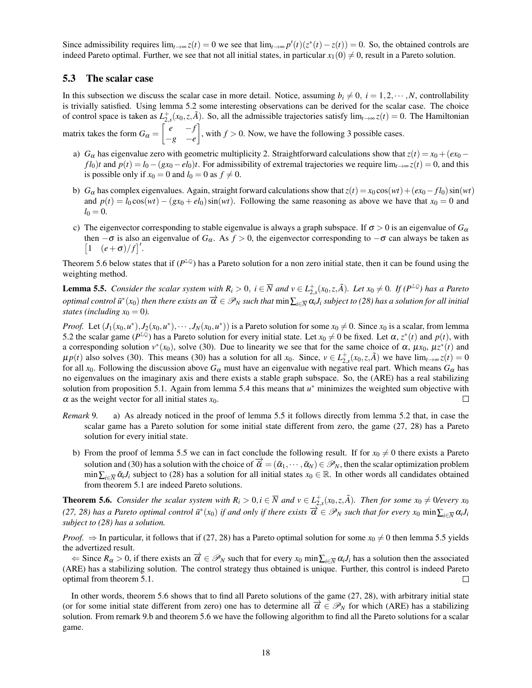Since admissibility requires  $\lim_{t\to\infty} z(t) = 0$  we see that  $\lim_{t\to\infty} p'(t)(z^*(t) - z(t)) = 0$ . So, the obtained controls are indeed Pareto optimal. Further, we see that not all initial states, in particular  $x_1(0) \neq 0$ , result in a Pareto solution.

#### 5.3 The scalar case

In this subsection we discuss the scalar case in more detail. Notice, assuming  $b_i \neq 0$ ,  $i = 1, 2, \dots, N$ , controllability is trivially satisfied. Using lemma 5.2 some interesting observations can be derived for the scalar case. The choice of control space is taken as  $L_{2,s}^+(x_0, z, \tilde{A})$ . So, all the admissible trajectories satisfy  $\lim_{t\to\infty} z(t) = 0$ . The Hamiltonian

matrix takes the form  $G_{\alpha} = \begin{bmatrix} e & -f \end{bmatrix}$ −*g* −*e* , with  $f > 0$ . Now, we have the following 3 possible cases.

- a)  $G_{\alpha}$  has eigenvalue zero with geometric multiplicity 2. Straightforward calculations show that  $z(t) = x_0 + (ex_0$ *f l*<sub>0</sub>)*t* and  $p(t) = l_0 - (gx_0 - el_0)t$ . For admissibility of extremal trajectories we require  $\lim_{t\to\infty} z(t) = 0$ , and this is possible only if  $x_0 = 0$  and  $l_0 = 0$  as  $f \neq 0$ .
- b)  $G_{\alpha}$  has complex eigenvalues. Again, straight forward calculations show that  $z(t) = x_0 \cos(wt) + (ex_0 fl_0) \sin(wt)$ and  $p(t) = l_0 \cos(wt) - (gx_0 + el_0) \sin(wt)$ . Following the same reasoning as above we have that  $x_0 = 0$  and  $l_0 = 0.$
- c) The eigenvector corresponding to stable eigenvalue is always a graph subspace. If  $\sigma > 0$  is an eigenvalue of  $G_\alpha$ then  $-\sigma$  is also an eigenvalue of  $G_{\alpha}$ . As  $f > 0$ , the eigenvector corresponding to  $-\sigma$  can always be taken as  $[1 \ (e+\sigma)/f]'$ .

Theorem 5.6 below states that if  $(P^{LQ})$  has a Pareto solution for a non zero initial state, then it can be found using the weighting method.

**Lemma 5.5.** *Consider the scalar system with*  $R_i > 0$ ,  $i \in \overline{N}$  and  $v \in L_{2,s}^+(x_0, z, \tilde{A})$ *. Let*  $x_0 \neq 0$ *. If*  $(P^{LQ})$  has a Pareto  $\overline{\alpha}$  *optimal control*  $\tilde{u}^*(x_0)$  *then there exists an*  $\overrightarrow{\alpha} \in \mathscr{P}_N$  *such that*  $\min \sum_{i \in \overline{N}} \alpha_i J_i$  *subject to (28) has a solution for all initial states (including*  $x_0 = 0$ *).* 

*Proof.* Let  $(J_1(x_0, u^*), J_2(x_0, u^*), \cdots, J_N(x_0, u^*))$  is a Pareto solution for some  $x_0 \neq 0$ . Since  $x_0$  is a scalar, from lemma 5.2 the scalar game  $(P^{LQ})$  has a Pareto solution for every initial state. Let  $x_0 \neq 0$  be fixed. Let  $\alpha, z^*(t)$  and  $p(t)$ , with a corresponding solution  $v^*(x_0)$ , solve (30). Due to linearity we see that for the same choice of  $\alpha$ ,  $\mu x_0$ ,  $\mu z^*(t)$  and  $\mu p(t)$  also solves (30). This means (30) has a solution for all *x*<sub>0</sub>. Since,  $v \in L_{2,s}^+(x_0, z, \tilde{A})$  we have  $\lim_{t \to \infty} z(t) = 0$ for all  $x_0$ . Following the discussion above  $G_\alpha$  must have an eigenvalue with negative real part. Which means  $G_\alpha$  has no eigenvalues on the imaginary axis and there exists a stable graph subspace. So, the (ARE) has a real stabilizing solution from proposition 5.1. Again from lemma 5.4 this means that *u*<sup>∗</sup> minimizes the weighted sum objective with  $\alpha$  as the weight vector for all initial states  $x_0$ .  $\Box$ 

- *Remark* 9*.* a) As already noticed in the proof of lemma 5.5 it follows directly from lemma 5.2 that, in case the scalar game has a Pareto solution for some initial state different from zero, the game (27, 28) has a Pareto solution for every initial state.
	- b) From the proof of lemma 5.5 we can in fact conclude the following result. If for  $x_0 \neq 0$  there exists a Pareto solution and (30) has a solution with the choice of  $\vec{\alpha} = (\bar{\alpha}_1, \dots, \bar{\alpha}_N) \in \mathcal{P}_N$ , then the scalar optimization problem  $\min \sum_{i \in \overline{N}} \overline{\alpha}_i J_i$  subject to (28) has a solution for all initial states  $x_0 \in \mathbb{R}$ . In other words all candidates obtained from theorem 5.1 are indeed Pareto solutions.

**Theorem 5.6.** *Consider the scalar system with*  $R_i > 0, i \in \overline{N}$  and  $v \in L_{2,s}^+(x_0, z, \tilde{A})$ *. Then for some*  $x_0 \neq 0$ /every  $x_0$  $(27, 28)$  has a Pareto optimal control  $\tilde{u}^*(x_0)$  if and only if there exists  $\overrightarrow{\alpha} \in \mathcal{P}_N$  such that for every  $x_0$  min $\sum_{i \in \overline{N}} \alpha_i J_i$ *subject to (28) has a solution.*

*Proof.*  $\Rightarrow$  In particular, it follows that if (27, 28) has a Pareto optimal solution for some  $x_0 \neq 0$  then lemma 5.5 yields the advertized result.

 $\Leftarrow$  Since  $R_{\alpha} > 0$ , if there exists an  $\vec{\alpha} \in \mathcal{P}_N$  such that for every  $x_0$  min $\sum_{i \in \overline{N}} \alpha_i J_i$  has a solution then the associated (ARE) has a stabilizing solution. The control strategy thus obtained is unique. Further, this control is indeed Pareto optimal from theorem 5.1. □

In other words, theorem 5.6 shows that to find all Pareto solutions of the game (27, 28), with arbitrary initial state (or for some initial state different from zero) one has to determine all  $\vec{\alpha} \in \mathcal{P}_N$  for which (ARE) has a stabilizing solution. From remark 9.b and theorem 5.6 we have the following algorithm to find all the Pareto solutions for a scalar game.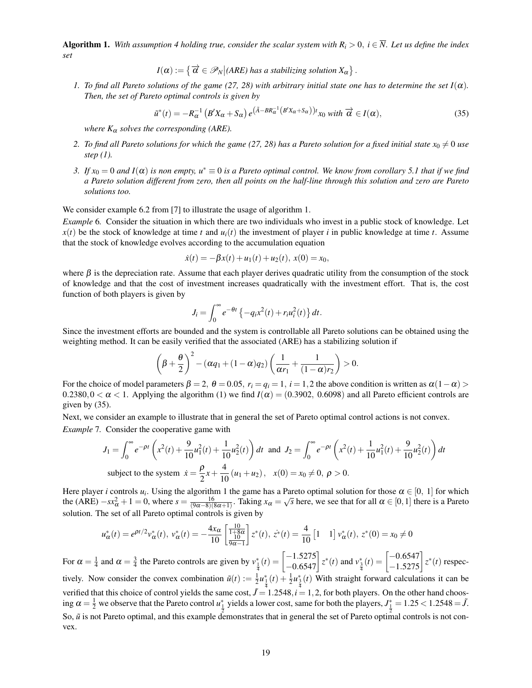Algorithm 1. With assumption 4 holding true, consider the scalar system with  $R_i > 0$ ,  $i \in \overline{N}$ . Let us define the index *set*

 $I(\alpha) := \left\{ \overrightarrow{\alpha} \in \mathscr{P}_N \middle| (ARE) \ has \ a \ stabilizing \ solution \ X_{\alpha} \right\}.$ 

*1. To find all Pareto solutions of the game (27, 28) with arbitrary initial state one has to determine the set*  $I(\alpha)$ . *Then, the set of Pareto optimal controls is given by*

$$
\tilde{u}^*(t) = -R_{\alpha}^{-1} \left( B'X_{\alpha} + S_{\alpha} \right) e^{\left( \tilde{A} - BR_{\alpha}^{-1} \left( B'X_{\alpha} + S_{\alpha} \right) \right)t} x_0 \text{ with } \overrightarrow{\alpha} \in I(\alpha), \tag{35}
$$

*where*  $K_{\alpha}$  *solves the corresponding (ARE).* 

- *2. To find all Pareto solutions for which the game (27, 28) has a Pareto solution for a fixed initial state*  $x_0 \neq 0$  *use step (1).*
- *3.* If  $x_0 = 0$  and  $I(\alpha)$  is non empty,  $u^* \equiv 0$  is a Pareto optimal control. We know from corollary 5.1 that if we find *a Pareto solution different from zero, then all points on the half-line through this solution and zero are Pareto solutions too.*

We consider example 6.2 from [7] to illustrate the usage of algorithm 1.

*Example* 6*.* Consider the situation in which there are two individuals who invest in a public stock of knowledge. Let  $x(t)$  be the stock of knowledge at time *t* and  $u_i(t)$  the investment of player *i* in public knowledge at time *t*. Assume that the stock of knowledge evolves according to the accumulation equation

$$
\dot{x}(t) = -\beta x(t) + u_1(t) + u_2(t), \ x(0) = x_0,
$$

where  $\beta$  is the depreciation rate. Assume that each player derives quadratic utility from the consumption of the stock of knowledge and that the cost of investment increases quadratically with the investment effort. That is, the cost function of both players is given by

$$
J_i = \int_0^\infty e^{-\theta t} \left\{ -q_i x^2(t) + r_i u_i^2(t) \right\} dt.
$$

Since the investment efforts are bounded and the system is controllable all Pareto solutions can be obtained using the weighting method. It can be easily verified that the associated (ARE) has a stabilizing solution if

$$
\left(\beta+\frac{\theta}{2}\right)^2-(\alpha q_1+(1-\alpha)q_2)\left(\frac{1}{\alpha r_1}+\frac{1}{(1-\alpha)r_2}\right)>0.
$$

For the choice of model parameters  $\beta = 2$ ,  $\theta = 0.05$ ,  $r_i = q_i = 1$ ,  $i = 1,2$  the above condition is written as  $\alpha(1-\alpha)$  $0.2380, 0 < \alpha < 1$ . Applying the algorithm (1) we find  $I(\alpha) = (0.3902, 0.6098)$  and all Pareto efficient controls are given by (35).

Next, we consider an example to illustrate that in general the set of Pareto optimal control actions is not convex. *Example* 7*.* Consider the cooperative game with

$$
J_1 = \int_0^\infty e^{-\rho t} \left( x^2(t) + \frac{9}{10} u_1^2(t) + \frac{1}{10} u_2^2(t) \right) dt \text{ and } J_2 = \int_0^\infty e^{-\rho t} \left( x^2(t) + \frac{1}{10} u_1^2(t) + \frac{9}{10} u_2^2(t) \right) dt
$$
  
subject to the system  $\dot{x} = \frac{\rho}{2} x + \frac{4}{10} (u_1 + u_2), \quad x(0) = x_0 \neq 0, \ \rho > 0.$ 

Here player *i* controls  $u_i$ . Using the algorithm 1 the game has a Pareto optimal solution for those  $\alpha \in [0, 1]$  for which the (ARE)  $-sx^2 + 1 = 0$ , where  $s = \frac{16}{(9\alpha - 8)(8\alpha + 1)}$ . Taking  $x_\alpha = \sqrt{s}$  here, we see that for all  $\alpha \in [0,1]$  there is a Pareto solution. The set of all Pareto optimal controls is given by

$$
u_{\alpha}^{*}(t) = e^{\rho t/2} v_{\alpha}^{*}(t), \ v_{\alpha}^{*}(t) = -\frac{4x_{\alpha}}{10} \left[ \frac{10}{18\alpha} \right] z^{*}(t), \ z^{*}(t) = \frac{4}{10} \left[ 1 \quad 1 \right] v_{\alpha}^{*}(t), \ z^{*}(0) = x_{0} \neq 0
$$

For  $\alpha = \frac{1}{4}$  and  $\alpha = \frac{3}{4}$  the Pareto controls are given by  $v_{\frac{1}{4}}^*(t) = \begin{bmatrix} -1.5275 \\ -0.6547 \end{bmatrix} z^*(t)$  and  $v_{\frac{3}{4}}^*(t) = \begin{bmatrix} -0.6547 \\ -1.5275 \end{bmatrix} z^*(t)$  respectively. Now consider the convex combination  $\tilde{u}(t) := \frac{1}{2}u_{\frac{1}{2}}^*(t) + \frac{1}{2}u_{\frac{3}{2}}^*(t)$  With straight forward calculations it can be verified that this choice of control yields the same cost,  $\tilde{J} = 1.2548$ ,  $i = 1, 2$ , for both players. On the other hand choosing  $\alpha = \frac{1}{2}$  we observe that the Pareto control  $u^*_{\frac{1}{2}}$  yields a lower cost, same for both the players,  $J^*_{\frac{1}{2}} = 1.25 < 1.2548 = \tilde{J}$ . So,  $\tilde{u}$  is not Pareto optimal, and this example demonstrates that in general the set of Pareto optimal controls is not convex.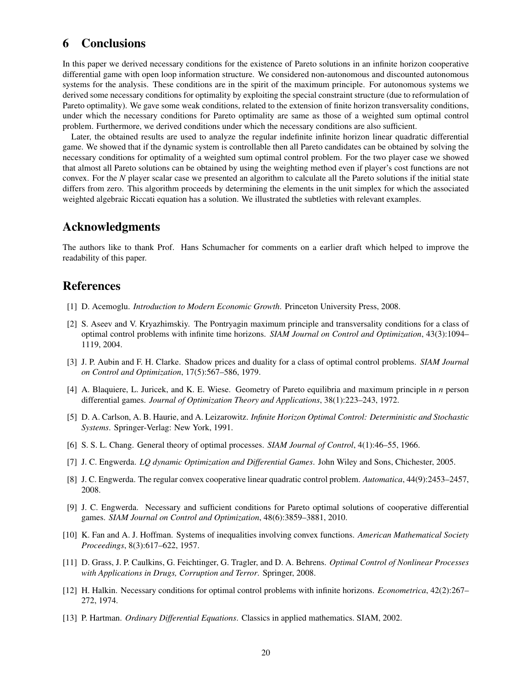# 6 Conclusions

In this paper we derived necessary conditions for the existence of Pareto solutions in an infinite horizon cooperative differential game with open loop information structure. We considered non-autonomous and discounted autonomous systems for the analysis. These conditions are in the spirit of the maximum principle. For autonomous systems we derived some necessary conditions for optimality by exploiting the special constraint structure (due to reformulation of Pareto optimality). We gave some weak conditions, related to the extension of finite horizon transversality conditions, under which the necessary conditions for Pareto optimality are same as those of a weighted sum optimal control problem. Furthermore, we derived conditions under which the necessary conditions are also sufficient.

Later, the obtained results are used to analyze the regular indefinite infinite horizon linear quadratic differential game. We showed that if the dynamic system is controllable then all Pareto candidates can be obtained by solving the necessary conditions for optimality of a weighted sum optimal control problem. For the two player case we showed that almost all Pareto solutions can be obtained by using the weighting method even if player's cost functions are not convex. For the *N* player scalar case we presented an algorithm to calculate all the Pareto solutions if the initial state differs from zero. This algorithm proceeds by determining the elements in the unit simplex for which the associated weighted algebraic Riccati equation has a solution. We illustrated the subtleties with relevant examples.

### Acknowledgments

The authors like to thank Prof. Hans Schumacher for comments on a earlier draft which helped to improve the readability of this paper.

# References

- [1] D. Acemoglu. *Introduction to Modern Economic Growth*. Princeton University Press, 2008.
- [2] S. Aseev and V. Kryazhimskiy. The Pontryagin maximum principle and transversality conditions for a class of optimal control problems with infinite time horizons. *SIAM Journal on Control and Optimization*, 43(3):1094– 1119, 2004.
- [3] J. P. Aubin and F. H. Clarke. Shadow prices and duality for a class of optimal control problems. *SIAM Journal on Control and Optimization*, 17(5):567–586, 1979.
- [4] A. Blaquiere, L. Juricek, and K. E. Wiese. Geometry of Pareto equilibria and maximum principle in *n* person differential games. *Journal of Optimization Theory and Applications*, 38(1):223–243, 1972.
- [5] D. A. Carlson, A. B. Haurie, and A. Leizarowitz. *Infinite Horizon Optimal Control: Deterministic and Stochastic Systems*. Springer-Verlag: New York, 1991.
- [6] S. S. L. Chang. General theory of optimal processes. *SIAM Journal of Control*, 4(1):46–55, 1966.
- [7] J. C. Engwerda. *LQ dynamic Optimization and Differential Games*. John Wiley and Sons, Chichester, 2005.
- [8] J. C. Engwerda. The regular convex cooperative linear quadratic control problem. *Automatica*, 44(9):2453–2457, 2008.
- [9] J. C. Engwerda. Necessary and sufficient conditions for Pareto optimal solutions of cooperative differential games. *SIAM Journal on Control and Optimization*, 48(6):3859–3881, 2010.
- [10] K. Fan and A. J. Hoffman. Systems of inequalities involving convex functions. *American Mathematical Society Proceedings*, 8(3):617–622, 1957.
- [11] D. Grass, J. P. Caulkins, G. Feichtinger, G. Tragler, and D. A. Behrens. *Optimal Control of Nonlinear Processes with Applications in Drugs, Corruption and Terror*. Springer, 2008.
- [12] H. Halkin. Necessary conditions for optimal control problems with infinite horizons. *Econometrica*, 42(2):267– 272, 1974.
- [13] P. Hartman. *Ordinary Differential Equations*. Classics in applied mathematics. SIAM, 2002.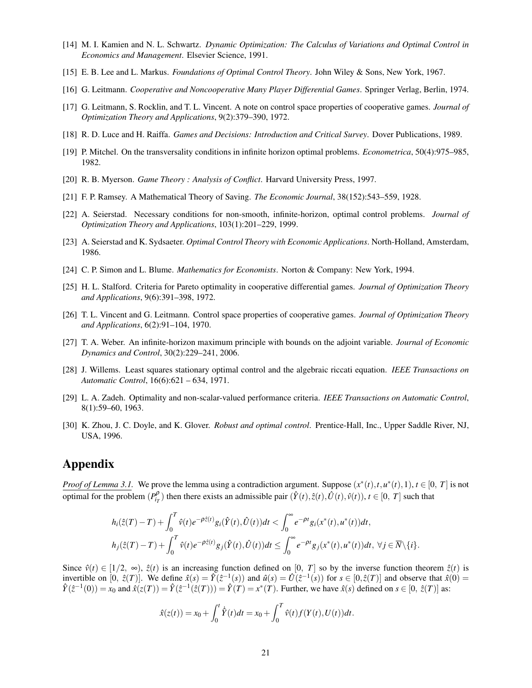- [14] M. I. Kamien and N. L. Schwartz. *Dynamic Optimization: The Calculus of Variations and Optimal Control in Economics and Management*. Elsevier Science, 1991.
- [15] E. B. Lee and L. Markus. *Foundations of Optimal Control Theory*. John Wiley & Sons, New York, 1967.
- [16] G. Leitmann. *Cooperative and Noncooperative Many Player Differential Games*. Springer Verlag, Berlin, 1974.
- [17] G. Leitmann, S. Rocklin, and T. L. Vincent. A note on control space properties of cooperative games. *Journal of Optimization Theory and Applications*, 9(2):379–390, 1972.
- [18] R. D. Luce and H. Raiffa. *Games and Decisions: Introduction and Critical Survey*. Dover Publications, 1989.
- [19] P. Mitchel. On the transversality conditions in infinite horizon optimal problems. *Econometrica*, 50(4):975–985, 1982.
- [20] R. B. Myerson. *Game Theory : Analysis of Conflict*. Harvard University Press, 1997.
- [21] F. P. Ramsey. A Mathematical Theory of Saving. *The Economic Journal*, 38(152):543–559, 1928.
- [22] A. Seierstad. Necessary conditions for non-smooth, infinite-horizon, optimal control problems. *Journal of Optimization Theory and Applications*, 103(1):201–229, 1999.
- [23] A. Seierstad and K. Sydsaeter. *Optimal Control Theory with Economic Applications*. North-Holland, Amsterdam, 1986.
- [24] C. P. Simon and L. Blume. *Mathematics for Economists*. Norton & Company: New York, 1994.
- [25] H. L. Stalford. Criteria for Pareto optimality in cooperative differential games. *Journal of Optimization Theory and Applications*, 9(6):391–398, 1972.
- [26] T. L. Vincent and G. Leitmann. Control space properties of cooperative games. *Journal of Optimization Theory and Applications*, 6(2):91–104, 1970.
- [27] T. A. Weber. An infinite-horizon maximum principle with bounds on the adjoint variable. *Journal of Economic Dynamics and Control*, 30(2):229–241, 2006.
- [28] J. Willems. Least squares stationary optimal control and the algebraic riccati equation. *IEEE Transactions on Automatic Control*, 16(6):621 – 634, 1971.
- [29] L. A. Zadeh. Optimality and non-scalar-valued performance criteria. *IEEE Transactions on Automatic Control*, 8(1):59–60, 1963.
- [30] K. Zhou, J. C. Doyle, and K. Glover. *Robust and optimal control*. Prentice-Hall, Inc., Upper Saddle River, NJ, USA, 1996.

## Appendix

*Proof of Lemma 3.1*. We prove the lemma using a contradiction argument. Suppose  $(x^*(t), t, u^*(t), 1), t \in [0, T]$  is not optimal for the problem  $(P_{iT}^{\rho})$  then there exists an admissible pair  $(\hat{Y}(t), \hat{z}(t), \hat{U}(t), \hat{v}(t))$ ,  $t \in [0, T]$  such that

$$
h_i(\hat{z}(T)-T)+\int_0^T \hat{v}(t)e^{-\rho \hat{z}(t)}g_i(\hat{Y}(t),\hat{U}(t))dt < \int_0^\infty e^{-\rho t}g_i(x^*(t),u^*(t))dt,
$$
  

$$
h_j(\hat{z}(T)-T)+\int_0^T \hat{v}(t)e^{-\rho \hat{z}(t)}g_j(\hat{Y}(t),\hat{U}(t))dt \leq \int_0^\infty e^{-\rho t}g_j(x^*(t),u^*(t))dt, \ \forall j \in \overline{N} \setminus \{i\}.
$$

Since  $\hat{v}(t) \in [1/2, \infty)$ ,  $\hat{z}(t)$  is an increasing function defined on [0, *T*] so by the inverse function theorem  $\hat{z}(t)$  is invertible on [0,  $\hat{z}(T)$ ]. We define  $\hat{x}(s) = \hat{Y}(\hat{z}^{-1}(s))$  and  $\hat{u}(s) = \hat{U}(\hat{z}^{-1}(s))$  for  $s \in [0,\hat{z}(T)]$  and observe that  $\hat{x}(0) =$  $\hat{Y}(\hat{z}^{-1}(0)) = x_0$  and  $\hat{x}(z(T)) = \hat{Y}(\hat{z}^{-1}(\hat{z}(T))) = \hat{Y}(T) = x^*(T)$ . Further, we have  $\hat{x}(s)$  defined on  $s \in [0, \hat{z}(T)]$  as:

$$
\hat{x}(z(t)) = x_0 + \int_0^t \dot{Y}(t)dt = x_0 + \int_0^T \hat{v}(t)f(Y(t),U(t))dt.
$$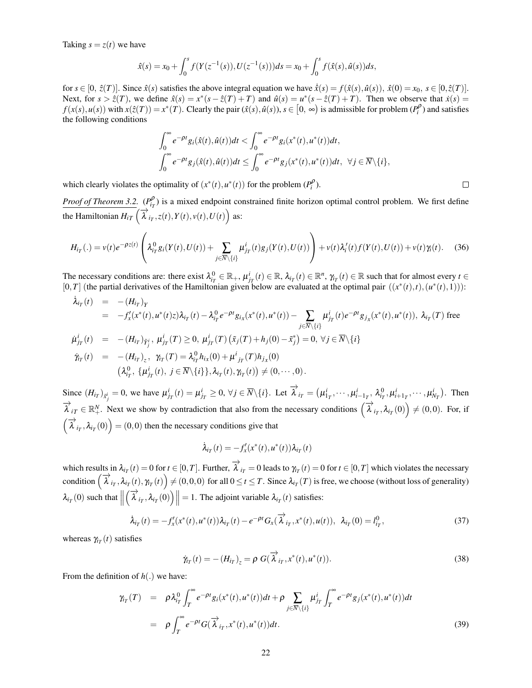Taking  $s = z(t)$  we have

$$
\hat{x}(s) = x_0 + \int_0^s f(Y(z^{-1}(s)), U(z^{-1}(s))) ds = x_0 + \int_0^s f(\hat{x}(s), \hat{u}(s)) ds,
$$

for  $s \in [0, \hat{z}(T)]$ . Since  $\hat{x}(s)$  satisfies the above integral equation we have  $\hat{x}(s) = f(\hat{x}(s), \hat{u}(s))$ ,  $\hat{x}(0) = x_0$ ,  $s \in [0, \hat{z}(T)]$ . Next, for  $s > \hat{z}(T)$ , we define  $\hat{x}(s) = x^*(s - \hat{z}(T) + T)$  and  $\hat{u}(s) = u^*(s - \hat{z}(T) + T)$ . Then we observe that  $\dot{x}(s) =$  $f(x(s), u(s))$  with  $x(\hat{z}(T)) = x^*(T)$ . Clearly the pair  $(\hat{x}(s), \hat{u}(s))$ ,  $s \in [0, \infty)$  is admissible for problem  $(P_i^p)$  and satisfies the following conditions

$$
\int_0^\infty e^{-\rho t} g_i(\hat{x}(t), \hat{u}(t)) dt < \int_0^\infty e^{-\rho t} g_i(x^*(t), u^*(t)) dt,
$$
  

$$
\int_0^\infty e^{-\rho t} g_j(\hat{x}(t), \hat{u}(t)) dt \le \int_0^\infty e^{-\rho t} g_j(x^*(t), u^*(t)) dt, \ \forall j \in \overline{N} \setminus \{i\},
$$

 $\Box$ 

which clearly violates the optimality of  $(x^*(t), u^*(t))$  for the problem  $(P_i^{\rho})$ .

*Proof of Theorem 3.2.*  $(P_{i_T}^{\rho})$  is a mixed endpoint constrained finite horizon optimal control problem. We first define the Hamiltonian  $H_{iT}\left(\overrightarrow{\lambda}_{ir}, z(t), Y(t), v(t), U(t)\right)$  as:

$$
H_{i_T}(\cdot) = v(t)e^{-\rho z(t)}\left(\lambda_{i_T}^0 g_i(Y(t),U(t)) + \sum_{j \in \overline{N} \setminus \{i\}} \mu_{j_T}^i(t)g_j(Y(t),U(t))\right) + v(t)\lambda_i'(t)f(Y(t),U(t)) + v(t)\gamma_i(t).
$$
 (36)

The necessary conditions are: there exist  $\lambda_{i}^0 \in \mathbb{R}_+$ ,  $\mu_{j}^i(t) \in \mathbb{R}$ ,  $\lambda_{i}^i(t) \in \mathbb{R}^n$ ,  $\gamma_{i}^i(t) \in \mathbb{R}$  such that for almost every  $t \in \mathbb{R}$ [0,*T*] (the partial derivatives of the Hamiltonian given below are evaluated at the optimal pair  $((x^*(t),t), (u^*(t),1)))$ :

$$
\dot{\lambda}_{i_{T}}(t) = -(H_{i_{T}})_{Y}
$$
\n
$$
= -f'_{x}(x^{*}(t), u^{*}(t)z)\lambda_{i_{T}}(t) - \lambda_{i_{T}}^{0}e^{-\rho t}g_{i_{X}}(x^{*}(t), u^{*}(t)) - \sum_{j \in \overline{N} \setminus \{i\}} \mu_{j_{T}}^{i}(t)e^{-\rho t}g_{j_{X}}(x^{*}(t), u^{*}(t)), \lambda_{i_{T}}(T) \text{ free}
$$
\n
$$
\dot{\mu}_{j_{T}}^{i}(t) = -(H_{i_{T}})_{\tilde{Y}_{j}^{i}}, \mu_{j_{T}}^{i}(T) \geq 0, \mu_{j_{T}}^{i}(T) (\tilde{x}_{j}(T) + h_{j}(0) - \tilde{x}_{j}^{*}) = 0, \forall j \in \overline{N} \setminus \{i\}
$$
\n
$$
\dot{\gamma}_{i_{T}}(t) = -(H_{i_{T}})_{z}, \gamma_{i_{T}}(T) = \lambda_{i_{T}}^{0}h_{i_{X}}(0) + \mu_{j_{T}}^{i}(T)h_{j_{X}}(0)
$$
\n
$$
(\lambda_{i_{T}}^{0}, \{\mu_{j_{T}}^{i}(t), j \in \overline{N} \setminus \{i\}\}, \lambda_{i_{T}}(t), \gamma_{i_{T}}(t)) \neq (0, \cdots, 0).
$$

Since  $(H_{i_T})_{\vec{x}_j^i} = 0$ , we have  $\mu_{j_T}^i(t) = \mu_{j_T}^i \ge 0$ ,  $\forall j \in \overline{N} \setminus \{i\}$ . Let  $\overrightarrow{\lambda}_{i_T} = (\mu_{1_T}^i, \dots, \mu_{i-1_T}^i, \lambda_{i_T}^0, \mu_{i+1_T}^i, \dots, \mu_{N_T}^i)$ . Then  $\vec{\lambda}_{iT} \in \mathbb{R}^N_+$ . Next we show by contradiction that also from the necessary conditions  $(\vec{\lambda}_{iT}, \lambda_{iT}(0)) \neq (0,0)$ . For, if  $\left(\overrightarrow{\lambda}_{i}^{T}$ ,  $\lambda_{i}^{T}(0)\right) = (0,0)$  then the necessary conditions give that

$$
\dot{\lambda}_{i_T}(t) = -f'_x(x^*(t), u^*(t))\lambda_{i_T}(t)
$$

which results in  $\lambda_{i}$   $(t) = 0$  for  $t \in [0, T]$ . Further,  $\overrightarrow{\lambda}_{i}$   $\overrightarrow{\lambda}_{i} = 0$  leads to  $\gamma_{i}$   $(t) = 0$  for  $t \in [0, T]$  which violates the necessary condition  $(\overrightarrow{\lambda}_{iT}, \lambda_{iT}(t), \gamma_{iT}(t)) \neq (0,0,0)$  for all  $0 \le t \le T$ . Since  $\lambda_{iT}(T)$  is free, we choose (without loss of generality)  $\lambda_{i}$  (0) such that  $\left\| \left( \overrightarrow{\lambda}_{i} \right)_{i}$ ,  $\lambda_{i}$  (0)  $\right\| = 1$ . The adjoint variable  $\lambda_{i}$  (*t*) satisfies:

$$
\dot{\lambda}_{i_{T}}(t) = -f'_{x}(x^{*}(t), u^{*}(t))\lambda_{i_{T}}(t) - e^{-\rho t}G_{x}(\overrightarrow{\lambda}_{i_{T}}, x^{*}(t), u(t)), \ \lambda_{i_{T}}(0) = l_{i_{T}}^{0}, \tag{37}
$$

whereas  $\gamma_{i}$  *(t)* satisfies

$$
\dot{\gamma}_{i} (t) = - (H_{i})_{z} = \rho \ G(\overrightarrow{\lambda}_{i}, x^{*}(t), u^{*}(t)).
$$
\n(38)

From the definition of *h*(.) we have:

$$
\gamma_r(T) = \rho \lambda_{i_T}^0 \int_T^{\infty} e^{-\rho t} g_i(x^*(t), u^*(t)) dt + \rho \sum_{j \in \overline{N} \setminus \{i\}} \mu_{j_T}^i \int_T^{\infty} e^{-\rho t} g_j(x^*(t), u^*(t)) dt
$$
  

$$
= \rho \int_T^{\infty} e^{-\rho t} G(\overrightarrow{\lambda}_{i_T}, x^*(t), u^*(t)) dt.
$$
 (39)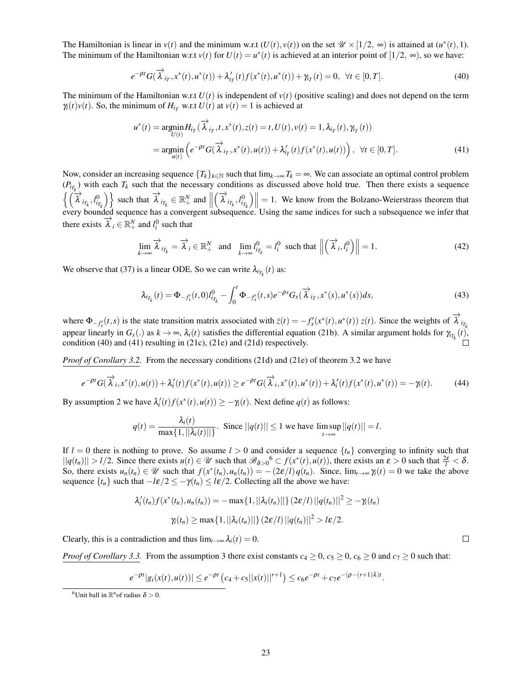The Hamiltonian is linear in  $v(t)$  and the minimum w.r.t  $(U(t), v(t))$  on the set  $\mathcal{U} \times [1/2, \infty)$  is attained at  $(u^*(t), 1)$ . The minimum of the Hamiltonian w.r.t  $v(t)$  for  $U(t) = u^*(t)$  is achieved at an interior point of [1/2,  $\infty$ ), so we have:

$$
e^{-\rho t} G(\overrightarrow{\lambda}_{i_T}, x^*(t), u^*(t)) + \lambda'_{i_T}(t) f(x^*(t), u^*(t)) + \gamma_{i_T}(t) = 0, \ \forall t \in [0, T].
$$
 (40)

The minimum of the Hamiltonian w.r.t  $U(t)$  is independent of  $v(t)$  (positive scaling) and does not depend on the term  $\gamma_i(t)v(t)$ . So, the minimum of  $H_{iT}$  w.r.t  $U(t)$  at  $v(t) = 1$  is achieved at

$$
u^{*}(t) = \underset{U(t)}{\text{argmin}} H_{ir}(\overrightarrow{\lambda}_{ir}, t, x^{*}(t), z(t) = t, U(t), v(t) = 1, \lambda_{ir}(t), \gamma_{ir}(t))
$$
  
=  $\underset{u(t)}{\text{argmin}} \left( e^{-\rho t} G(\overrightarrow{\lambda}_{ir}, x^{*}(t), u(t)) + \lambda'_{ir}(t) f(x^{*}(t), u(t)) \right), \ \forall t \in [0, T].$  (41)

Now, consider an increasing sequence  $\{T_k\}_{k\in\mathbb{N}}$  such that  $\lim_{k\to\infty}T_k=\infty$ . We can associate an optimal control problem  $(P_{i_{\mathcal{T}_k}})$  with each  $T_k$  such that the necessary conditions as discussed above hold true. Then there exists a sequence  $\left\{ \left( \overrightarrow{\lambda}_{i_{T_k}}, l_{i_{T_k}}^0 \right) \right\}$  such that  $\overrightarrow{\lambda}_{i_{T_k}} \in \mathbb{R}^N_+$  and  $\left\| \left( \overrightarrow{\lambda}_{i_{T_k}}, l_{i_{T_k}}^0 \right) \right\|$  $\left\{ \left( \overrightarrow{\lambda}_{i_{T_k}}, l_{i_{T_k}}^0 \right) \right\}$  such that  $\overrightarrow{\lambda}_{i_{T_k}} \in \mathbb{R}_+^N$  and  $\left\| \left( \overrightarrow{\lambda}_{i_{T_k}}, l_{i_{T_k}}^0 \right) \right\| = 1$ . We know from the Bolzano-Weierstrass theorem that every bounded sequence has a convergent subsequence. U there exists  $\overrightarrow{\lambda}_i \in \mathbb{R}^N_+$  and  $l_i^0$  such that

$$
\lim_{k \to \infty} \overrightarrow{\lambda}_{i_{T_k}} = \overrightarrow{\lambda}_{i} \in \mathbb{R}^N_+ \text{ and } \lim_{k \to \infty} l_{i_{T_k}}^0 = l_i^0 \text{ such that } \left\| \left( \overrightarrow{\lambda}_{i}, l_i^0 \right) \right\| = 1. \tag{42}
$$

We observe that (37) is a linear ODE. So we can write  $\lambda_{i_{T_k}}(t)$  as:

$$
\lambda_{i_{T_k}}(t) = \Phi_{-f'_x}(t,0)l_{i_{T_k}}^0 - \int_0^t \Phi_{-f'_x}(t,s)e^{-\rho s}G_x(\overrightarrow{\lambda}_{i_T},x^*(s),u^*(s))ds,
$$
\n(43)

where  $\Phi_{-f'_x}(t,s)$  is the state transition matrix associated with  $\dot{z}(t) = -f'_x(x^*(t), u^*(t)) z(t)$ . Since the weights of  $\overrightarrow{\lambda}_{i_{T_k}}$ appear linearly in  $G_x(.)$  as  $k \to \infty$ ,  $\lambda_i(t)$  satisfies the differential equation (21b). A similar argument holds for  $\gamma_{i\tau_k}(t)$ , condition (40) and (41) resulting in (21c), (21e) and (21d) respectively.

*Proof of Corollary 3.2.* From the necessary conditions (21d) and (21e) of theorem 3.2 we have

$$
e^{-\rho t} G(\overrightarrow{\lambda}_{i}, x^{*}(t), u(t)) + \lambda'_{i}(t) f(x^{*}(t), u(t)) \ge e^{-\rho t} G(\overrightarrow{\lambda}_{i}, x^{*}(t), u^{*}(t)) + \lambda'_{i}(t) f(x^{*}(t), u^{*}(t)) = -\gamma_{i}(t).
$$
 (44)

By assumption 2 we have  $\lambda'_i(t) f(x^*(t), u(t)) \geq -\gamma_i(t)$ . Next define  $q(t)$  as follows:

$$
q(t) = \frac{\lambda_i(t)}{\max\{1, ||\lambda_i(t)||\}}.
$$
 Since  $||q(t)|| \le 1$  we have  $\limsup_{t \to \infty} ||q(t)|| = l$ .

If  $l = 0$  there is nothing to prove. So assume  $l > 0$  and consider a sequence  $\{t_n\}$  converging to infinity such that  $||q(t_n)|| > l/2$ . Since there exists  $u(t) \in \mathcal{U}$  such that  $\mathcal{B}_{\delta>0}^6 \subset f(x^*(t), u(t))$ , there exists an  $\varepsilon > 0$  such that  $\frac{2\varepsilon}{l} < \delta$ . So, there exists  $u_n(t_n) \in \mathcal{U}$  such that  $f(x^*(t_n), u_n(t_n)) = -(2\varepsilon/l) q(t_n)$ . Since,  $\lim_{t \to \infty} \gamma_i(t) = 0$  we take the above sequence  $\{t_n\}$  such that  $-l\varepsilon/2 \leq -\gamma(t_n) \leq l\varepsilon/2$ . Collecting all the above we have:

$$
\lambda_i'(t_n)f(x^*(t_n),u_n(t_n)) = -\max\{1, ||\lambda_i(t_n)||\} (2\varepsilon/l) ||q(t_n)||^2 \geq -\gamma_i(t_n)
$$

$$
\gamma_i(t_n) \geq \max\{1, ||\lambda_i(t_n)||\} (2\varepsilon/l) ||q(t_n)||^2 > l\varepsilon/2.
$$

Clearly, this is a contradiction and thus  $\lim_{t\to\infty} \lambda_i(t) = 0$ .

*Proof of Corollary 3.3.* From the assumption 3 there exist constants  $c_4 \geq 0$ ,  $c_5 \geq 0$ ,  $c_6 \geq 0$  and  $c_7 \geq 0$  such that:

$$
e^{-\rho t}|g_i(x(t),u(t))| \leq e^{-\rho t} (c_4+c_5||x(t)||^{r+1}) \leq c_6 e^{-\rho t}+c_7 e^{-(\rho-(r+1)\lambda)t}.
$$

 $\Box$ 

<sup>&</sup>lt;sup>6</sup>Unit ball in  $\mathbb{R}^n$  of radius  $\delta > 0$ .